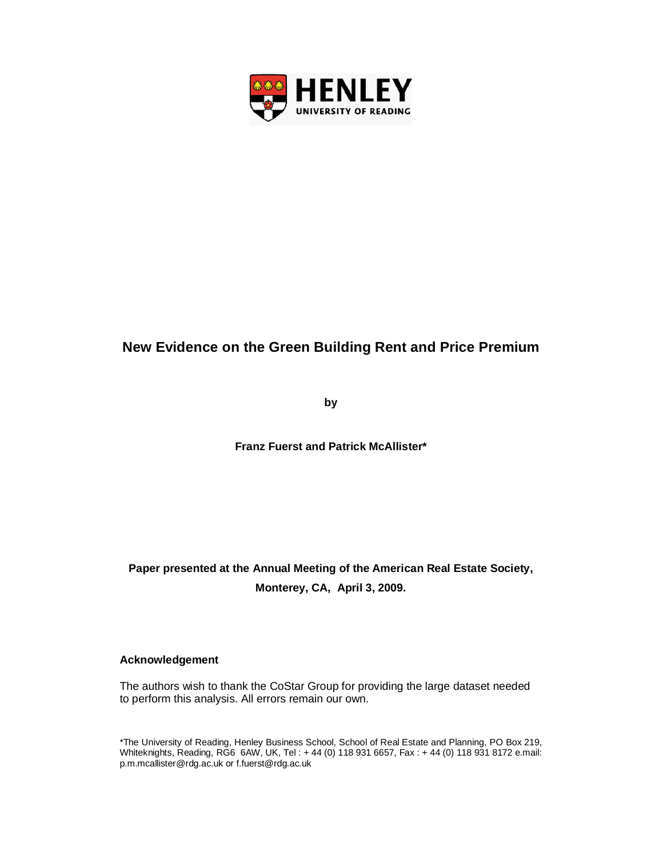

# **New Evidence on the Green Building Rent and Price Premium**

**by**

**Franz Fuerst and Patrick McAllister\***

# **Paper presented at the Annual Meeting of the American Real Estate Society, Monterey, CA, April 3, 2009.**

## **Acknowledgement**

The authors wish to thank the CoStar Group for providing the large dataset needed to perform this analysis. All errors remain our own.

\*The University of Reading, Henley Business School, School of Real Estate and Planning, PO Box 219, Whiteknights, Reading, RG6 6AW, UK, Tel : + 44 (0) 118 931 6657, Fax : + 44 (0) 118 931 8172 e.mail: p.m.mcallister@rdg.ac.uk or f.fuerst@rdg.ac.uk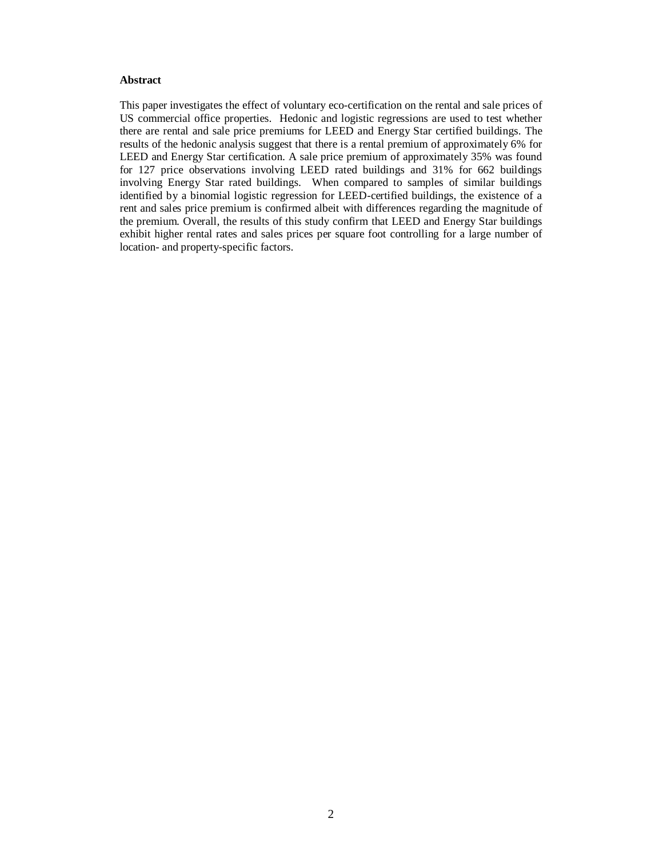### **Abstract**

This paper investigates the effect of voluntary eco-certification on the rental and sale prices of US commercial office properties. Hedonic and logistic regressions are used to test whether there are rental and sale price premiums for LEED and Energy Star certified buildings. The results of the hedonic analysis suggest that there is a rental premium of approximately 6% for LEED and Energy Star certification. A sale price premium of approximately 35% was found for 127 price observations involving LEED rated buildings and 31% for 662 buildings involving Energy Star rated buildings. When compared to samples of similar buildings identified by a binomial logistic regression for LEED-certified buildings, the existence of a rent and sales price premium is confirmed albeit with differences regarding the magnitude of the premium. Overall, the results of this study confirm that LEED and Energy Star buildings exhibit higher rental rates and sales prices per square foot controlling for a large number of location- and property-specific factors.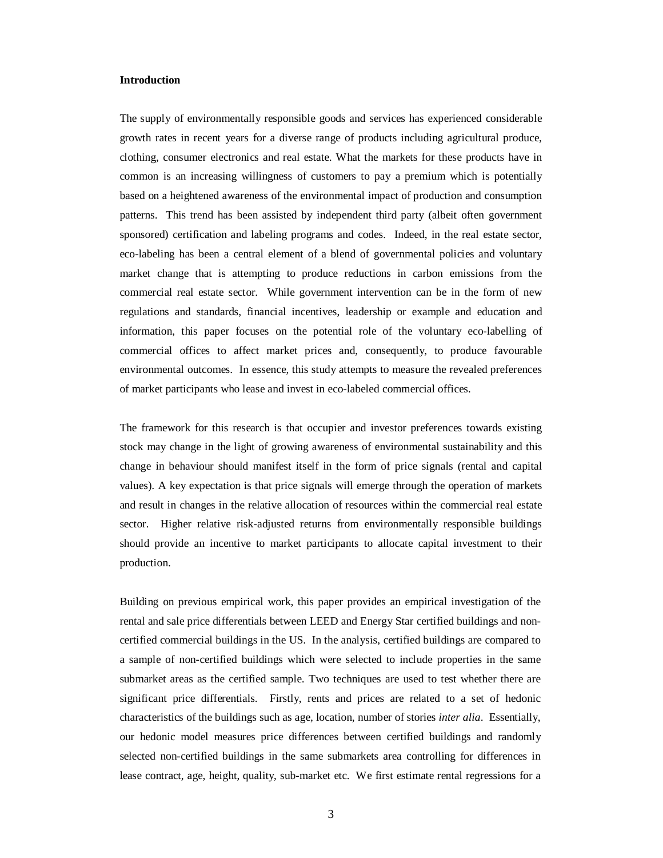#### **Introduction**

The supply of environmentally responsible goods and services has experienced considerable growth rates in recent years for a diverse range of products including agricultural produce, clothing, consumer electronics and real estate. What the markets for these products have in common is an increasing willingness of customers to pay a premium which is potentially based on a heightened awareness of the environmental impact of production and consumption patterns. This trend has been assisted by independent third party (albeit often government sponsored) certification and labeling programs and codes. Indeed, in the real estate sector, eco-labeling has been a central element of a blend of governmental policies and voluntary market change that is attempting to produce reductions in carbon emissions from the commercial real estate sector. While government intervention can be in the form of new regulations and standards, financial incentives, leadership or example and education and information, this paper focuses on the potential role of the voluntary eco-labelling of commercial offices to affect market prices and, consequently, to produce favourable environmental outcomes. In essence, this study attempts to measure the revealed preferences of market participants who lease and invest in eco-labeled commercial offices.

The framework for this research is that occupier and investor preferences towards existing stock may change in the light of growing awareness of environmental sustainability and this change in behaviour should manifest itself in the form of price signals (rental and capital values). A key expectation is that price signals will emerge through the operation of markets and result in changes in the relative allocation of resources within the commercial real estate sector. Higher relative risk-adjusted returns from environmentally responsible buildings should provide an incentive to market participants to allocate capital investment to their production.

Building on previous empirical work, this paper provides an empirical investigation of the rental and sale price differentials between LEED and Energy Star certified buildings and noncertified commercial buildings in the US. In the analysis, certified buildings are compared to a sample of non-certified buildings which were selected to include properties in the same submarket areas as the certified sample. Two techniques are used to test whether there are significant price differentials. Firstly, rents and prices are related to a set of hedonic characteristics of the buildings such as age, location, number of stories *inter alia*. Essentially, our hedonic model measures price differences between certified buildings and randomly selected non-certified buildings in the same submarkets area controlling for differences in lease contract, age, height, quality, sub-market etc. We first estimate rental regressions for a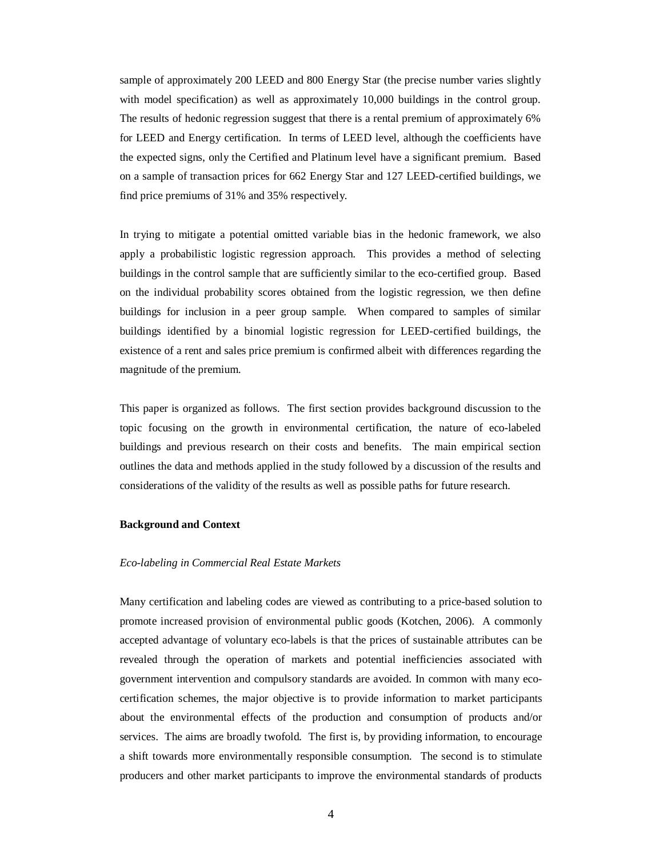sample of approximately 200 LEED and 800 Energy Star (the precise number varies slightly with model specification) as well as approximately 10,000 buildings in the control group. The results of hedonic regression suggest that there is a rental premium of approximately 6% for LEED and Energy certification. In terms of LEED level, although the coefficients have the expected signs, only the Certified and Platinum level have a significant premium. Based on a sample of transaction prices for 662 Energy Star and 127 LEED-certified buildings, we find price premiums of 31% and 35% respectively.

In trying to mitigate a potential omitted variable bias in the hedonic framework, we also apply a probabilistic logistic regression approach. This provides a method of selecting buildings in the control sample that are sufficiently similar to the eco-certified group. Based on the individual probability scores obtained from the logistic regression, we then define buildings for inclusion in a peer group sample. When compared to samples of similar buildings identified by a binomial logistic regression for LEED-certified buildings, the existence of a rent and sales price premium is confirmed albeit with differences regarding the magnitude of the premium.

This paper is organized as follows. The first section provides background discussion to the topic focusing on the growth in environmental certification, the nature of eco-labeled buildings and previous research on their costs and benefits. The main empirical section outlines the data and methods applied in the study followed by a discussion of the results and considerations of the validity of the results as well as possible paths for future research.

#### **Background and Context**

#### *Eco-labeling in Commercial Real Estate Markets*

Many certification and labeling codes are viewed as contributing to a price-based solution to promote increased provision of environmental public goods (Kotchen, 2006). A commonly accepted advantage of voluntary eco-labels is that the prices of sustainable attributes can be revealed through the operation of markets and potential inefficiencies associated with government intervention and compulsory standards are avoided. In common with many ecocertification schemes, the major objective is to provide information to market participants about the environmental effects of the production and consumption of products and/or services. The aims are broadly twofold. The first is, by providing information, to encourage a shift towards more environmentally responsible consumption. The second is to stimulate producers and other market participants to improve the environmental standards of products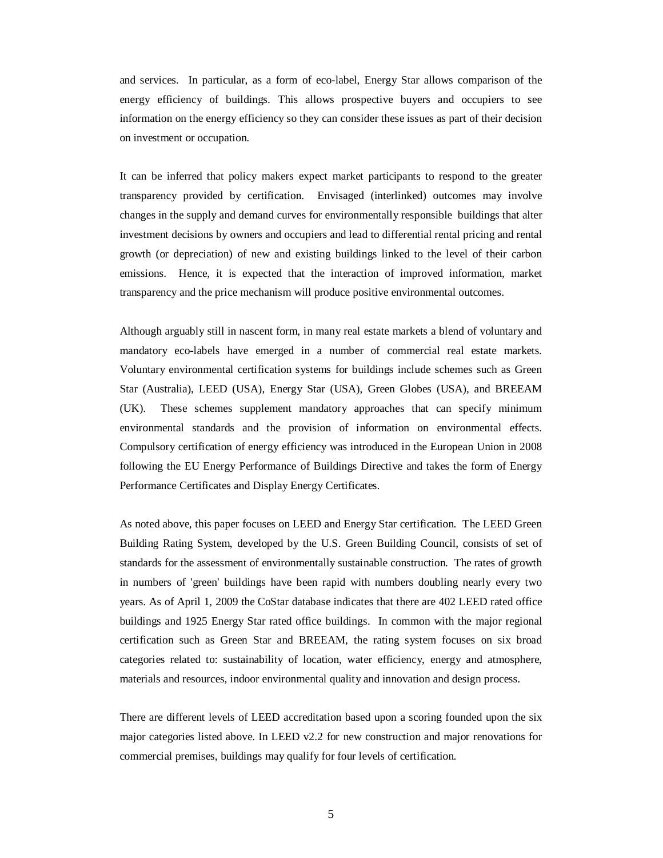and services. In particular, as a form of eco-label, Energy Star allows comparison of the energy efficiency of buildings. This allows prospective buyers and occupiers to see information on the energy efficiency so they can consider these issues as part of their decision on investment or occupation.

It can be inferred that policy makers expect market participants to respond to the greater transparency provided by certification. Envisaged (interlinked) outcomes may involve changes in the supply and demand curves for environmentally responsible buildings that alter investment decisions by owners and occupiers and lead to differential rental pricing and rental growth (or depreciation) of new and existing buildings linked to the level of their carbon emissions. Hence, it is expected that the interaction of improved information, market transparency and the price mechanism will produce positive environmental outcomes.

Although arguably still in nascent form, in many real estate markets a blend of voluntary and mandatory eco-labels have emerged in a number of commercial real estate markets. Voluntary environmental certification systems for buildings include schemes such as Green Star (Australia), LEED (USA), Energy Star (USA), Green Globes (USA), and BREEAM (UK). These schemes supplement mandatory approaches that can specify minimum environmental standards and the provision of information on environmental effects. Compulsory certification of energy efficiency was introduced in the European Union in 2008 following the EU Energy Performance of Buildings Directive and takes the form of Energy Performance Certificates and Display Energy Certificates.

As noted above, this paper focuses on LEED and Energy Star certification. The LEED Green Building Rating System, developed by the U.S. Green Building Council, consists of set of standards for the assessment of environmentally sustainable construction. The rates of growth in numbers of 'green' buildings have been rapid with numbers doubling nearly every two years. As of April 1, 2009 the CoStar database indicates that there are 402 LEED rated office buildings and 1925 Energy Star rated office buildings. In common with the major regional certification such as Green Star and BREEAM, the rating system focuses on six broad categories related to: sustainability of location, water efficiency, energy and atmosphere, materials and resources, indoor environmental quality and innovation and design process.

There are different levels of LEED accreditation based upon a scoring founded upon the six major categories listed above. In LEED v2.2 for new construction and major renovations for commercial premises, buildings may qualify for four levels of certification.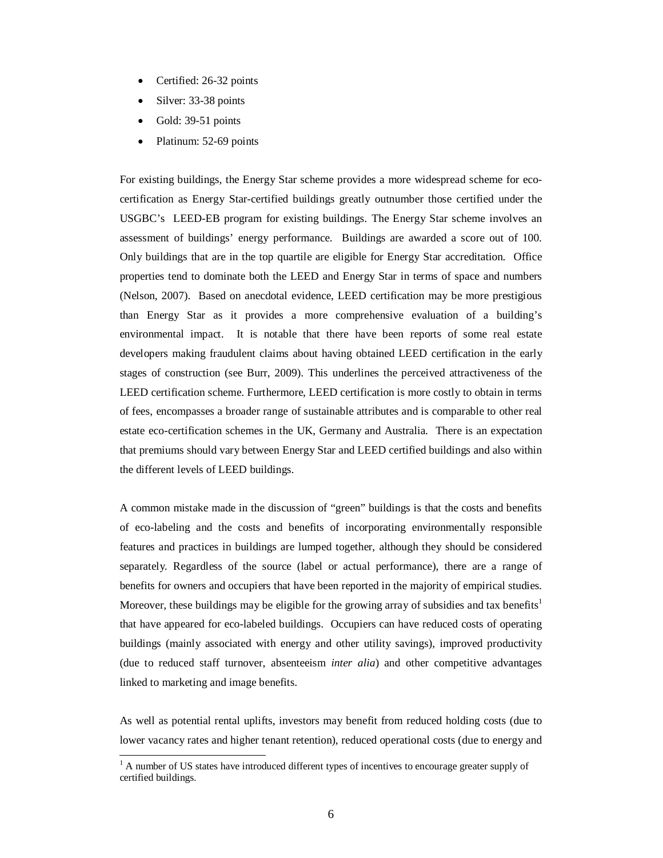- Certified: 26-32 points
- Silver: 33-38 points
- Gold: 39-51 points

 $\overline{a}$ 

Platinum: 52-69 points

For existing buildings, the Energy Star scheme provides a more widespread scheme for ecocertification as Energy Star-certified buildings greatly outnumber those certified under the USGBC's LEED-EB program for existing buildings. The Energy Star scheme involves an assessment of buildings' energy performance. Buildings are awarded a score out of 100. Only buildings that are in the top quartile are eligible for Energy Star accreditation. Office properties tend to dominate both the LEED and Energy Star in terms of space and numbers (Nelson, 2007). Based on anecdotal evidence, LEED certification may be more prestigious than Energy Star as it provides a more comprehensive evaluation of a building's environmental impact. It is notable that there have been reports of some real estate developers making fraudulent claims about having obtained LEED certification in the early stages of construction (see Burr, 2009). This underlines the perceived attractiveness of the LEED certification scheme. Furthermore, LEED certification is more costly to obtain in terms of fees, encompasses a broader range of sustainable attributes and is comparable to other real estate eco-certification schemes in the UK, Germany and Australia. There is an expectation that premiums should vary between Energy Star and LEED certified buildings and also within the different levels of LEED buildings.

A common mistake made in the discussion of "green" buildings is that the costs and benefits of eco-labeling and the costs and benefits of incorporating environmentally responsible features and practices in buildings are lumped together, although they should be considered separately. Regardless of the source (label or actual performance), there are a range of benefits for owners and occupiers that have been reported in the majority of empirical studies. Moreover, these buildings may be eligible for the growing array of subsidies and tax benefits<sup>1</sup> that have appeared for eco-labeled buildings. Occupiers can have reduced costs of operating buildings (mainly associated with energy and other utility savings), improved productivity (due to reduced staff turnover, absenteeism *inter alia*) and other competitive advantages linked to marketing and image benefits.

As well as potential rental uplifts, investors may benefit from reduced holding costs (due to lower vacancy rates and higher tenant retention), reduced operational costs (due to energy and

 $<sup>1</sup>$  A number of US states have introduced different types of incentives to encourage greater supply of</sup> certified buildings.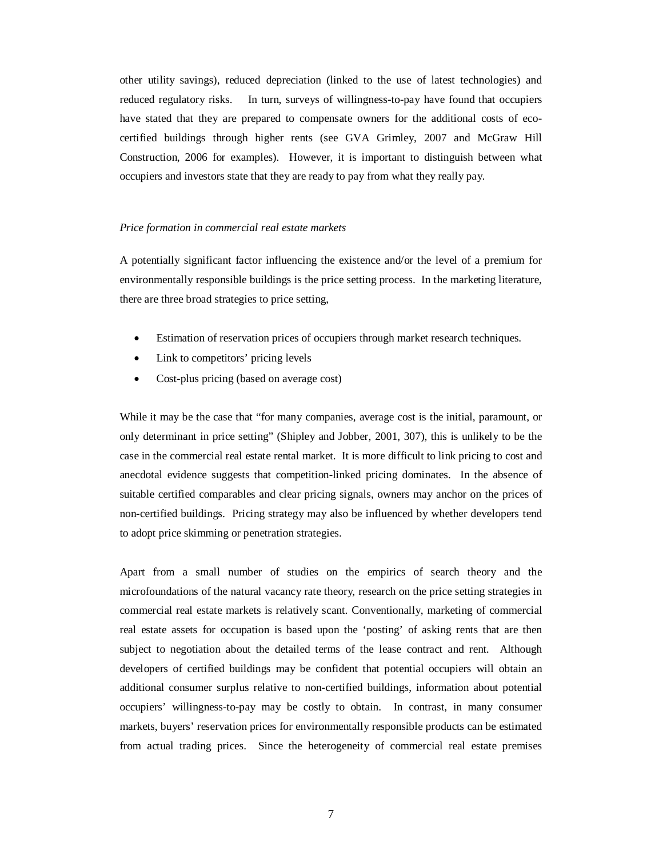other utility savings), reduced depreciation (linked to the use of latest technologies) and reduced regulatory risks. In turn, surveys of willingness-to-pay have found that occupiers have stated that they are prepared to compensate owners for the additional costs of ecocertified buildings through higher rents (see GVA Grimley, 2007 and McGraw Hill Construction, 2006 for examples). However, it is important to distinguish between what occupiers and investors state that they are ready to pay from what they really pay.

#### *Price formation in commercial real estate markets*

A potentially significant factor influencing the existence and/or the level of a premium for environmentally responsible buildings is the price setting process. In the marketing literature, there are three broad strategies to price setting,

- Estimation of reservation prices of occupiers through market research techniques.
- Link to competitors' pricing levels
- Cost-plus pricing (based on average cost)

While it may be the case that "for many companies, average cost is the initial, paramount, or only determinant in price setting" (Shipley and Jobber, 2001, 307), this is unlikely to be the case in the commercial real estate rental market. It is more difficult to link pricing to cost and anecdotal evidence suggests that competition-linked pricing dominates. In the absence of suitable certified comparables and clear pricing signals, owners may anchor on the prices of non-certified buildings. Pricing strategy may also be influenced by whether developers tend to adopt price skimming or penetration strategies.

Apart from a small number of studies on the empirics of search theory and the microfoundations of the natural vacancy rate theory, research on the price setting strategies in commercial real estate markets is relatively scant. Conventionally, marketing of commercial real estate assets for occupation is based upon the 'posting' of asking rents that are then subject to negotiation about the detailed terms of the lease contract and rent. Although developers of certified buildings may be confident that potential occupiers will obtain an additional consumer surplus relative to non-certified buildings, information about potential occupiers' willingness-to-pay may be costly to obtain. In contrast, in many consumer markets, buyers' reservation prices for environmentally responsible products can be estimated from actual trading prices. Since the heterogeneity of commercial real estate premises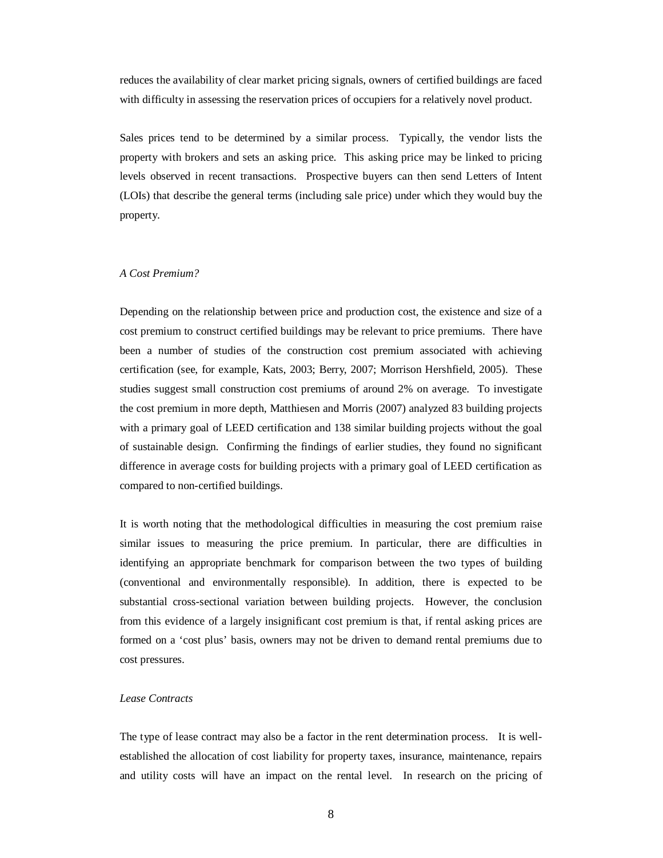reduces the availability of clear market pricing signals, owners of certified buildings are faced with difficulty in assessing the reservation prices of occupiers for a relatively novel product.

Sales prices tend to be determined by a similar process. Typically, the vendor lists the property with brokers and sets an asking price. This asking price may be linked to pricing levels observed in recent transactions. Prospective buyers can then send Letters of Intent (LOIs) that describe the general terms (including sale price) under which they would buy the property.

## *A Cost Premium?*

Depending on the relationship between price and production cost, the existence and size of a cost premium to construct certified buildings may be relevant to price premiums. There have been a number of studies of the construction cost premium associated with achieving certification (see, for example, Kats, 2003; Berry, 2007; Morrison Hershfield, 2005). These studies suggest small construction cost premiums of around 2% on average. To investigate the cost premium in more depth, Matthiesen and Morris (2007) analyzed 83 building projects with a primary goal of LEED certification and 138 similar building projects without the goal of sustainable design. Confirming the findings of earlier studies, they found no significant difference in average costs for building projects with a primary goal of LEED certification as compared to non-certified buildings.

It is worth noting that the methodological difficulties in measuring the cost premium raise similar issues to measuring the price premium. In particular, there are difficulties in identifying an appropriate benchmark for comparison between the two types of building (conventional and environmentally responsible). In addition, there is expected to be substantial cross-sectional variation between building projects. However, the conclusion from this evidence of a largely insignificant cost premium is that, if rental asking prices are formed on a 'cost plus' basis, owners may not be driven to demand rental premiums due to cost pressures.

## *Lease Contracts*

The type of lease contract may also be a factor in the rent determination process. It is wellestablished the allocation of cost liability for property taxes, insurance, maintenance, repairs and utility costs will have an impact on the rental level. In research on the pricing of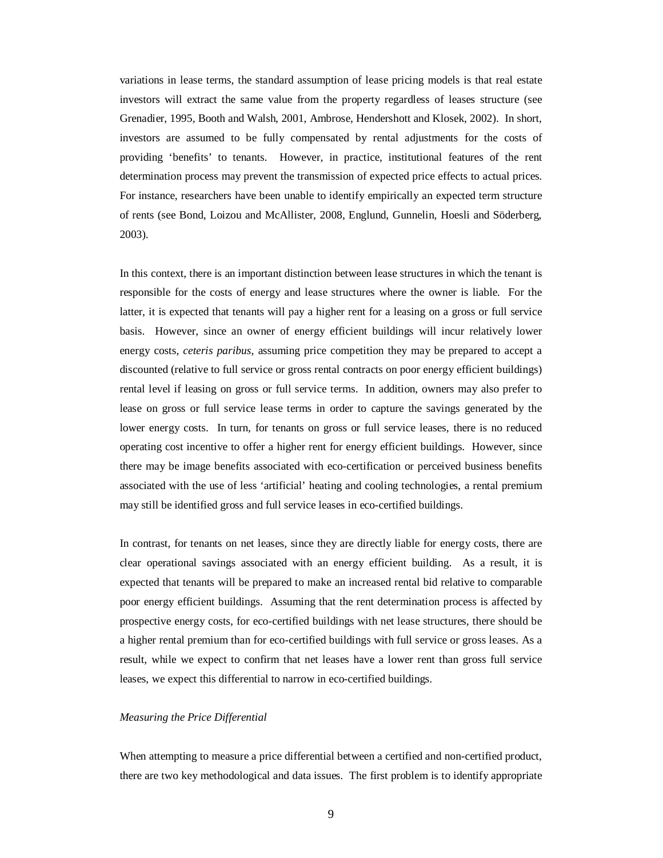variations in lease terms, the standard assumption of lease pricing models is that real estate investors will extract the same value from the property regardless of leases structure (see Grenadier, 1995, Booth and Walsh, 2001, Ambrose, Hendershott and Klosek, 2002). In short, investors are assumed to be fully compensated by rental adjustments for the costs of providing 'benefits' to tenants. However, in practice, institutional features of the rent determination process may prevent the transmission of expected price effects to actual prices. For instance, researchers have been unable to identify empirically an expected term structure of rents (see Bond, Loizou and McAllister, 2008, Englund, Gunnelin, Hoesli and Söderberg, 2003).

In this context, there is an important distinction between lease structures in which the tenant is responsible for the costs of energy and lease structures where the owner is liable. For the latter, it is expected that tenants will pay a higher rent for a leasing on a gross or full service basis. However, since an owner of energy efficient buildings will incur relatively lower energy costs, *ceteris paribus*, assuming price competition they may be prepared to accept a discounted (relative to full service or gross rental contracts on poor energy efficient buildings) rental level if leasing on gross or full service terms. In addition, owners may also prefer to lease on gross or full service lease terms in order to capture the savings generated by the lower energy costs. In turn, for tenants on gross or full service leases, there is no reduced operating cost incentive to offer a higher rent for energy efficient buildings. However, since there may be image benefits associated with eco-certification or perceived business benefits associated with the use of less 'artificial' heating and cooling technologies, a rental premium may still be identified gross and full service leases in eco-certified buildings.

In contrast, for tenants on net leases, since they are directly liable for energy costs, there are clear operational savings associated with an energy efficient building. As a result, it is expected that tenants will be prepared to make an increased rental bid relative to comparable poor energy efficient buildings. Assuming that the rent determination process is affected by prospective energy costs, for eco-certified buildings with net lease structures, there should be a higher rental premium than for eco-certified buildings with full service or gross leases. As a result, while we expect to confirm that net leases have a lower rent than gross full service leases, we expect this differential to narrow in eco-certified buildings.

## *Measuring the Price Differential*

When attempting to measure a price differential between a certified and non-certified product, there are two key methodological and data issues. The first problem is to identify appropriate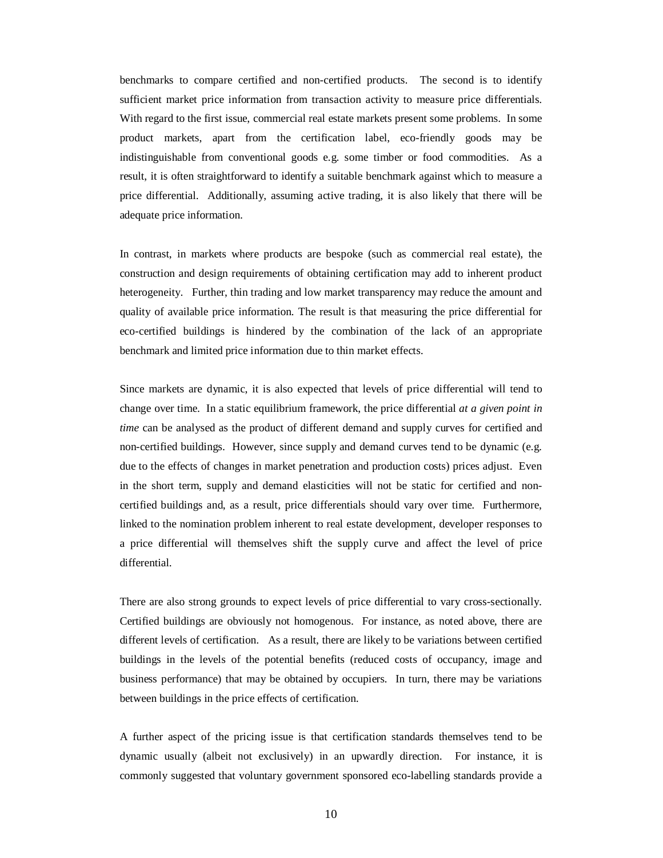benchmarks to compare certified and non-certified products. The second is to identify sufficient market price information from transaction activity to measure price differentials. With regard to the first issue, commercial real estate markets present some problems. In some product markets, apart from the certification label, eco-friendly goods may be indistinguishable from conventional goods e.g. some timber or food commodities. As a result, it is often straightforward to identify a suitable benchmark against which to measure a price differential. Additionally, assuming active trading, it is also likely that there will be adequate price information.

In contrast, in markets where products are bespoke (such as commercial real estate), the construction and design requirements of obtaining certification may add to inherent product heterogeneity. Further, thin trading and low market transparency may reduce the amount and quality of available price information. The result is that measuring the price differential for eco-certified buildings is hindered by the combination of the lack of an appropriate benchmark and limited price information due to thin market effects.

Since markets are dynamic, it is also expected that levels of price differential will tend to change over time. In a static equilibrium framework, the price differential *at a given point in time* can be analysed as the product of different demand and supply curves for certified and non-certified buildings. However, since supply and demand curves tend to be dynamic (e.g. due to the effects of changes in market penetration and production costs) prices adjust. Even in the short term, supply and demand elasticities will not be static for certified and noncertified buildings and, as a result, price differentials should vary over time. Furthermore, linked to the nomination problem inherent to real estate development, developer responses to a price differential will themselves shift the supply curve and affect the level of price differential.

There are also strong grounds to expect levels of price differential to vary cross-sectionally. Certified buildings are obviously not homogenous. For instance, as noted above, there are different levels of certification. As a result, there are likely to be variations between certified buildings in the levels of the potential benefits (reduced costs of occupancy, image and business performance) that may be obtained by occupiers. In turn, there may be variations between buildings in the price effects of certification.

A further aspect of the pricing issue is that certification standards themselves tend to be dynamic usually (albeit not exclusively) in an upwardly direction. For instance, it is commonly suggested that voluntary government sponsored eco-labelling standards provide a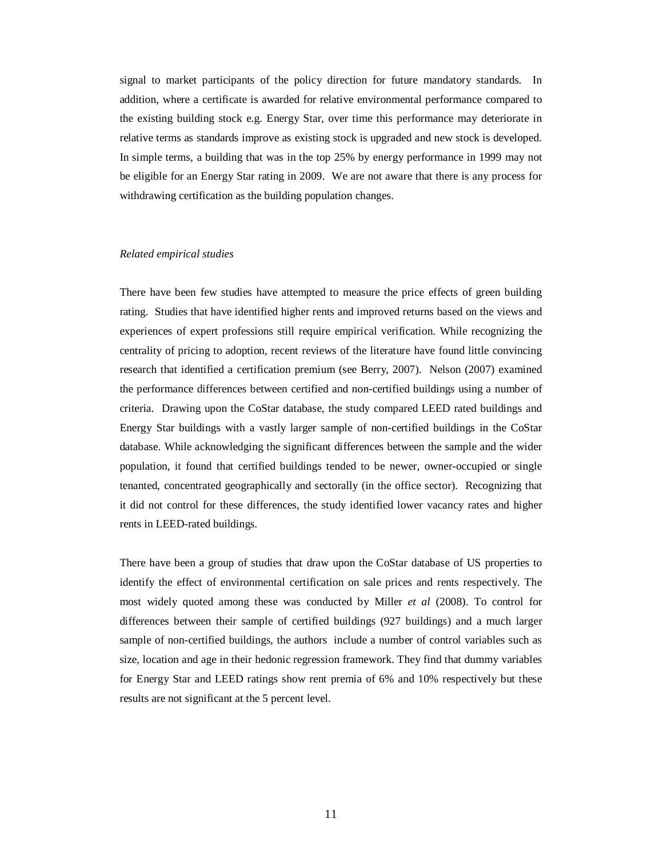signal to market participants of the policy direction for future mandatory standards. In addition, where a certificate is awarded for relative environmental performance compared to the existing building stock e.g. Energy Star, over time this performance may deteriorate in relative terms as standards improve as existing stock is upgraded and new stock is developed. In simple terms, a building that was in the top 25% by energy performance in 1999 may not be eligible for an Energy Star rating in 2009. We are not aware that there is any process for withdrawing certification as the building population changes.

#### *Related empirical studies*

There have been few studies have attempted to measure the price effects of green building rating. Studies that have identified higher rents and improved returns based on the views and experiences of expert professions still require empirical verification. While recognizing the centrality of pricing to adoption, recent reviews of the literature have found little convincing research that identified a certification premium (see Berry, 2007). Nelson (2007) examined the performance differences between certified and non-certified buildings using a number of criteria. Drawing upon the CoStar database, the study compared LEED rated buildings and Energy Star buildings with a vastly larger sample of non-certified buildings in the CoStar database. While acknowledging the significant differences between the sample and the wider population, it found that certified buildings tended to be newer, owner-occupied or single tenanted, concentrated geographically and sectorally (in the office sector). Recognizing that it did not control for these differences, the study identified lower vacancy rates and higher rents in LEED-rated buildings.

There have been a group of studies that draw upon the CoStar database of US properties to identify the effect of environmental certification on sale prices and rents respectively. The most widely quoted among these was conducted by Miller *et al* (2008). To control for differences between their sample of certified buildings (927 buildings) and a much larger sample of non-certified buildings, the authors include a number of control variables such as size, location and age in their hedonic regression framework. They find that dummy variables for Energy Star and LEED ratings show rent premia of 6% and 10% respectively but these results are not significant at the 5 percent level.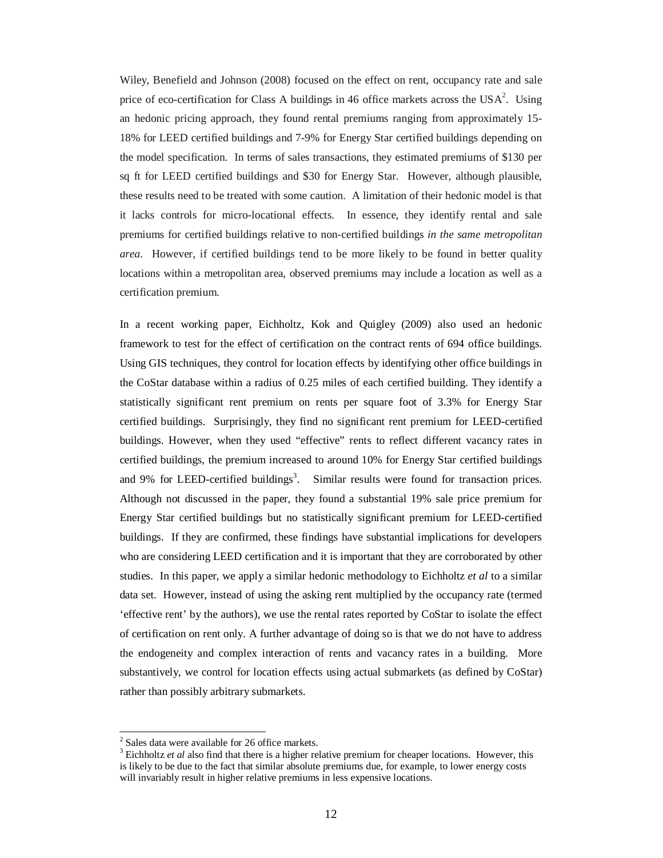Wiley, Benefield and Johnson (2008) focused on the effect on rent, occupancy rate and sale price of eco-certification for Class A buildings in 46 office markets across the  $USA^2$ . Using an hedonic pricing approach, they found rental premiums ranging from approximately 15- 18% for LEED certified buildings and 7-9% for Energy Star certified buildings depending on the model specification. In terms of sales transactions, they estimated premiums of \$130 per sq ft for LEED certified buildings and \$30 for Energy Star. However, although plausible, these results need to be treated with some caution. A limitation of their hedonic model is that it lacks controls for micro-locational effects. In essence, they identify rental and sale premiums for certified buildings relative to non-certified buildings *in the same metropolitan area*. However, if certified buildings tend to be more likely to be found in better quality locations within a metropolitan area, observed premiums may include a location as well as a certification premium.

In a recent working paper, Eichholtz, Kok and Quigley (2009) also used an hedonic framework to test for the effect of certification on the contract rents of 694 office buildings. Using GIS techniques, they control for location effects by identifying other office buildings in the CoStar database within a radius of 0.25 miles of each certified building. They identify a statistically significant rent premium on rents per square foot of 3.3% for Energy Star certified buildings. Surprisingly, they find no significant rent premium for LEED-certified buildings. However, when they used "effective" rents to reflect different vacancy rates in certified buildings, the premium increased to around 10% for Energy Star certified buildings and 9% for LEED-certified buildings<sup>3</sup>. Similar results were found for transaction prices. Although not discussed in the paper, they found a substantial 19% sale price premium for Energy Star certified buildings but no statistically significant premium for LEED-certified buildings. If they are confirmed, these findings have substantial implications for developers who are considering LEED certification and it is important that they are corroborated by other studies. In this paper, we apply a similar hedonic methodology to Eichholtz *et al* to a similar data set. However, instead of using the asking rent multiplied by the occupancy rate (termed 'effective rent' by the authors), we use the rental rates reported by CoStar to isolate the effect of certification on rent only. A further advantage of doing so is that we do not have to address the endogeneity and complex interaction of rents and vacancy rates in a building. More substantively, we control for location effects using actual submarkets (as defined by CoStar) rather than possibly arbitrary submarkets.

 $\ddot{ }$ 

 $2$  Sales data were available for 26 office markets.

<sup>&</sup>lt;sup>3</sup> Eichholtz *et al* also find that there is a higher relative premium for cheaper locations. However, this is likely to be due to the fact that similar absolute premiums due, for example, to lower energy costs will invariably result in higher relative premiums in less expensive locations.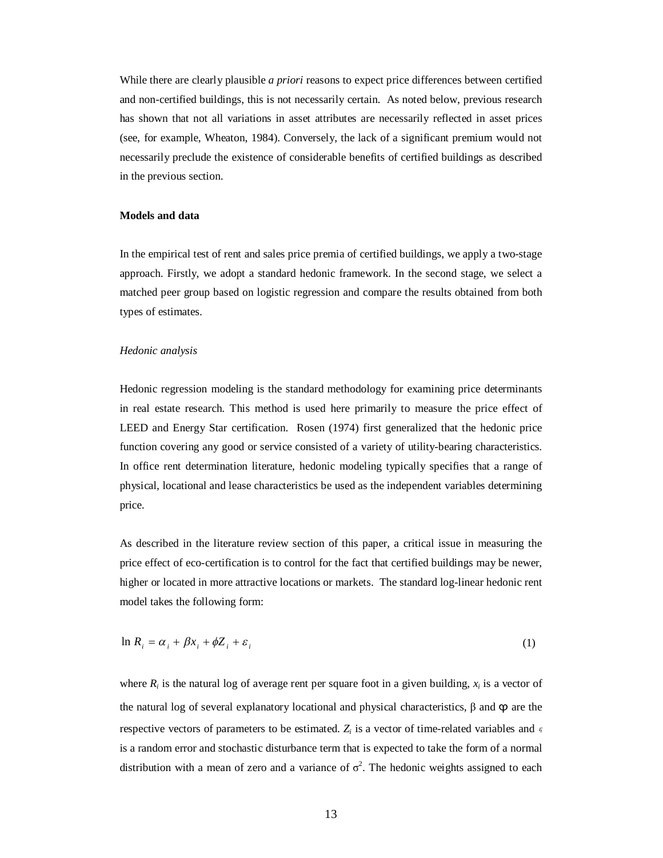While there are clearly plausible *a priori* reasons to expect price differences between certified and non-certified buildings, this is not necessarily certain. As noted below, previous research has shown that not all variations in asset attributes are necessarily reflected in asset prices (see, for example, Wheaton, 1984). Conversely, the lack of a significant premium would not necessarily preclude the existence of considerable benefits of certified buildings as described in the previous section.

## **Models and data**

In the empirical test of rent and sales price premia of certified buildings, we apply a two-stage approach. Firstly, we adopt a standard hedonic framework. In the second stage, we select a matched peer group based on logistic regression and compare the results obtained from both types of estimates.

#### *Hedonic analysis*

Hedonic regression modeling is the standard methodology for examining price determinants in real estate research. This method is used here primarily to measure the price effect of LEED and Energy Star certification. Rosen (1974) first generalized that the hedonic price function covering any good or service consisted of a variety of utility-bearing characteristics. In office rent determination literature, hedonic modeling typically specifies that a range of physical, locational and lease characteristics be used as the independent variables determining price.

As described in the literature review section of this paper, a critical issue in measuring the price effect of eco-certification is to control for the fact that certified buildings may be newer, higher or located in more attractive locations or markets. The standard log-linear hedonic rent model takes the following form:

$$
\ln R_i = \alpha_i + \beta x_i + \phi Z_i + \varepsilon_i \tag{1}
$$

where  $R_i$  is the natural log of average rent per square foot in a given building,  $x_i$  is a vector of the natural log of several explanatory locational and physical characteristics,  $\beta$  and  $\varphi$  are the respective vectors of parameters to be estimated. *Z<sup>i</sup>* is a vector of time-related variables and *<sup>i</sup>* is a random error and stochastic disturbance term that is expected to take the form of a normal distribution with a mean of zero and a variance of  $\sigma^2$ . The hedonic weights assigned to each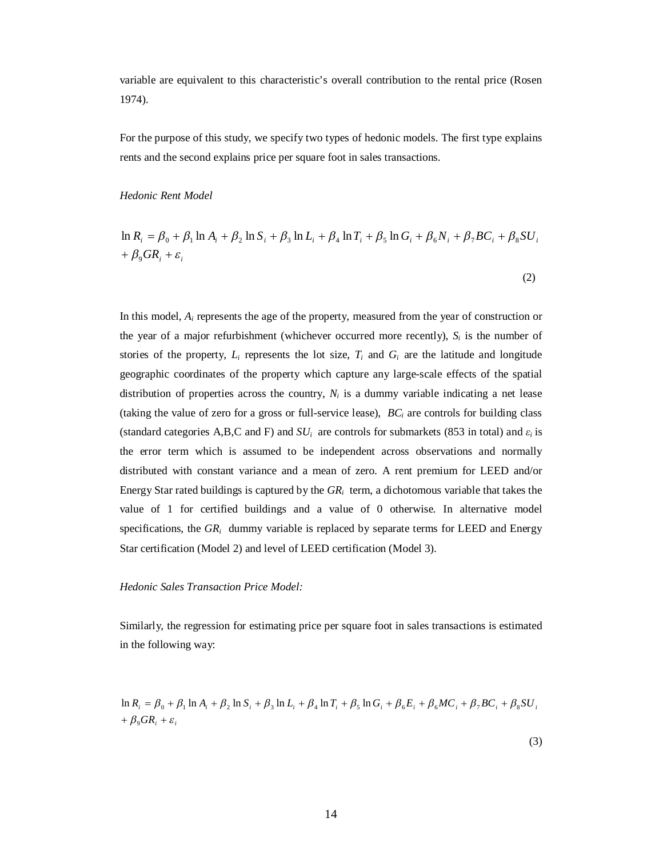variable are equivalent to this characteristic's overall contribution to the rental price (Rosen 1974).

For the purpose of this study, we specify two types of hedonic models. The first type explains rents and the second explains price per square foot in sales transactions.

## *Hedonic Rent Model*

$$
\ln R_i = \beta_0 + \beta_1 \ln A_i + \beta_2 \ln S_i + \beta_3 \ln L_i + \beta_4 \ln T_i + \beta_5 \ln G_i + \beta_6 N_i + \beta_7 BC_i + \beta_8 SU_i + \beta_9 GR_i + \varepsilon_i
$$

In this model, *A<sup>i</sup>* represents the age of the property, measured from the year of construction or the year of a major refurbishment (whichever occurred more recently),  $S_i$  is the number of stories of the property,  $L_i$  represents the lot size,  $T_i$  and  $G_i$  are the latitude and longitude geographic coordinates of the property which capture any large-scale effects of the spatial distribution of properties across the country,  $N_i$  is a dummy variable indicating a net lease (taking the value of zero for a gross or full-service lease), *BC<sup>i</sup>* are controls for building class (standard categories A,B,C and F) and  $SU_i$  are controls for submarkets (853 in total) and  $\varepsilon_i$  is the error term which is assumed to be independent across observations and normally distributed with constant variance and a mean of zero. A rent premium for LEED and/or Energy Star rated buildings is captured by the *GR<sup>i</sup>* term, a dichotomous variable that takes the value of 1 for certified buildings and a value of 0 otherwise. In alternative model specifications, the  $GR_i$  dummy variable is replaced by separate terms for LEED and Energy Star certification (Model 2) and level of LEED certification (Model 3).

### *Hedonic Sales Transaction Price Model:*

Similarly, the regression for estimating price per square foot in sales transactions is estimated in the following way:

$$
\ln R_i = \beta_0 + \beta_1 \ln A_i + \beta_2 \ln S_i + \beta_3 \ln L_i + \beta_4 \ln T_i + \beta_5 \ln G_i + \beta_6 E_i + \beta_6 MC_i + \beta_7 BC_i + \beta_8 SU_i + \beta_9 GR_i + \varepsilon_i
$$

(2)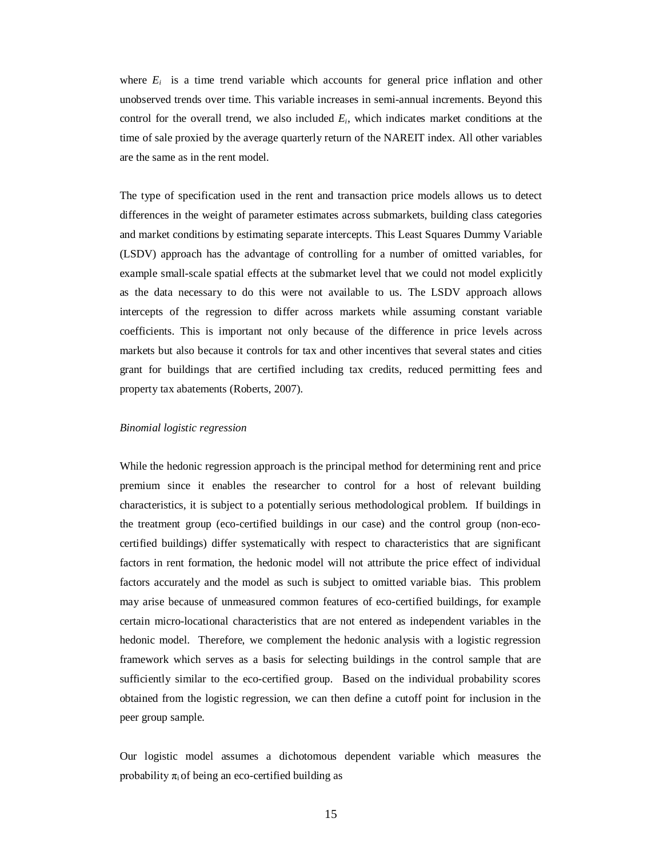where  $E_i$  is a time trend variable which accounts for general price inflation and other unobserved trends over time. This variable increases in semi-annual increments. Beyond this control for the overall trend, we also included  $E_i$ , which indicates market conditions at the time of sale proxied by the average quarterly return of the NAREIT index. All other variables are the same as in the rent model.

The type of specification used in the rent and transaction price models allows us to detect differences in the weight of parameter estimates across submarkets, building class categories and market conditions by estimating separate intercepts. This Least Squares Dummy Variable (LSDV) approach has the advantage of controlling for a number of omitted variables, for example small-scale spatial effects at the submarket level that we could not model explicitly as the data necessary to do this were not available to us. The LSDV approach allows intercepts of the regression to differ across markets while assuming constant variable coefficients. This is important not only because of the difference in price levels across markets but also because it controls for tax and other incentives that several states and cities grant for buildings that are certified including tax credits, reduced permitting fees and property tax abatements (Roberts, 2007).

#### *Binomial logistic regression*

While the hedonic regression approach is the principal method for determining rent and price premium since it enables the researcher to control for a host of relevant building characteristics, it is subject to a potentially serious methodological problem. If buildings in the treatment group (eco-certified buildings in our case) and the control group (non-ecocertified buildings) differ systematically with respect to characteristics that are significant factors in rent formation, the hedonic model will not attribute the price effect of individual factors accurately and the model as such is subject to omitted variable bias. This problem may arise because of unmeasured common features of eco-certified buildings, for example certain micro-locational characteristics that are not entered as independent variables in the hedonic model. Therefore, we complement the hedonic analysis with a logistic regression framework which serves as a basis for selecting buildings in the control sample that are sufficiently similar to the eco-certified group. Based on the individual probability scores obtained from the logistic regression, we can then define a cutoff point for inclusion in the peer group sample.

Our logistic model assumes a dichotomous dependent variable which measures the probability  $\pi_i$  of being an eco-certified building as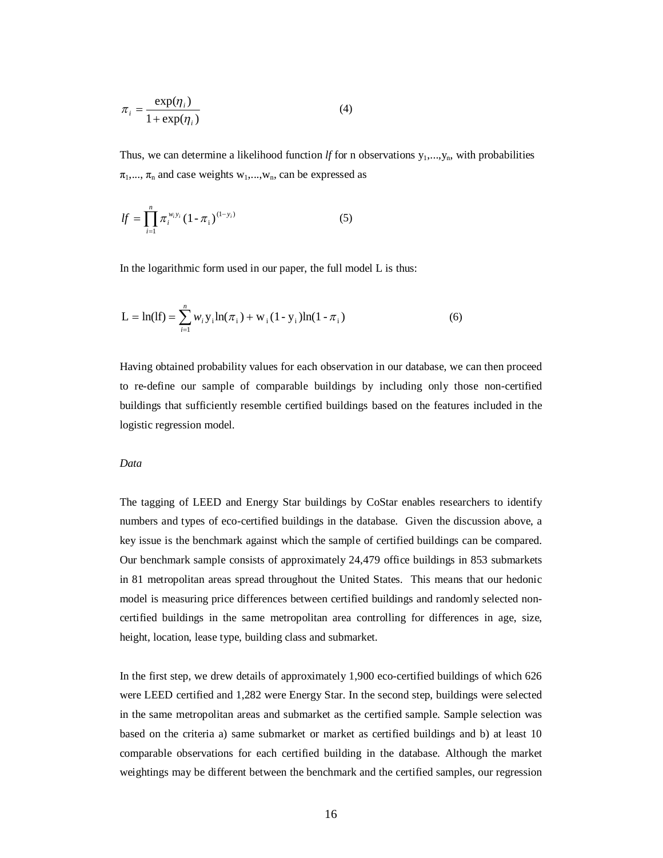$$
\pi_i = \frac{\exp(\eta_i)}{1 + \exp(\eta_i)}
$$
(4)

Thus, we can determine a likelihood function *lf* for n observations  $y_1, \ldots, y_n$ , with probabilities  $\pi_1, \dots, \pi_n$  and case weights  $w_1, \dots, w_n$ , can be expressed as

$$
lf = \prod_{i=1}^{n} \pi_i^{w_i y_i} (1 - \pi_i)^{(1 - y_i)}
$$
(5)

In the logarithmic form used in our paper, the full model L is thus:

$$
L = \ln(1f) = \sum_{i=1}^{n} w_i y_i \ln(\pi_i) + w_i (1 - y_i) \ln(1 - \pi_i)
$$
 (6)

Having obtained probability values for each observation in our database, we can then proceed to re-define our sample of comparable buildings by including only those non-certified buildings that sufficiently resemble certified buildings based on the features included in the logistic regression model.

## *Data*

The tagging of LEED and Energy Star buildings by CoStar enables researchers to identify numbers and types of eco-certified buildings in the database. Given the discussion above, a key issue is the benchmark against which the sample of certified buildings can be compared. Our benchmark sample consists of approximately 24,479 office buildings in 853 submarkets in 81 metropolitan areas spread throughout the United States. This means that our hedonic model is measuring price differences between certified buildings and randomly selected noncertified buildings in the same metropolitan area controlling for differences in age, size, height, location, lease type, building class and submarket.

In the first step, we drew details of approximately 1,900 eco-certified buildings of which 626 were LEED certified and 1,282 were Energy Star. In the second step, buildings were selected in the same metropolitan areas and submarket as the certified sample. Sample selection was based on the criteria a) same submarket or market as certified buildings and b) at least 10 comparable observations for each certified building in the database. Although the market weightings may be different between the benchmark and the certified samples, our regression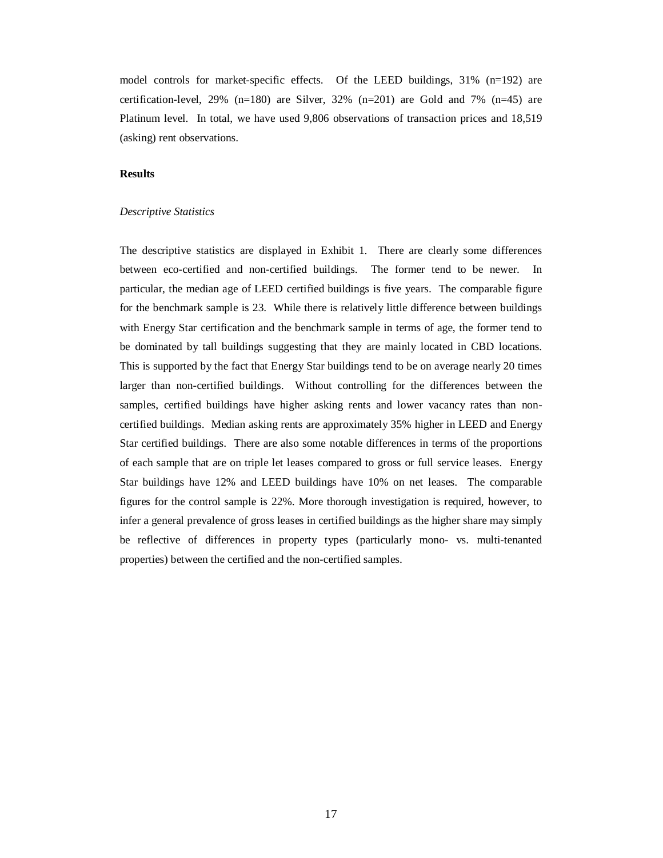model controls for market-specific effects. Of the LEED buildings, 31% (n=192) are certification-level, 29% (n=180) are Silver, 32% (n=201) are Gold and 7% (n=45) are Platinum level. In total, we have used 9,806 observations of transaction prices and 18,519 (asking) rent observations.

## **Results**

#### *Descriptive Statistics*

The descriptive statistics are displayed in Exhibit 1. There are clearly some differences between eco-certified and non-certified buildings. The former tend to be newer. In particular, the median age of LEED certified buildings is five years. The comparable figure for the benchmark sample is 23. While there is relatively little difference between buildings with Energy Star certification and the benchmark sample in terms of age, the former tend to be dominated by tall buildings suggesting that they are mainly located in CBD locations. This is supported by the fact that Energy Star buildings tend to be on average nearly 20 times larger than non-certified buildings. Without controlling for the differences between the samples, certified buildings have higher asking rents and lower vacancy rates than noncertified buildings. Median asking rents are approximately 35% higher in LEED and Energy Star certified buildings. There are also some notable differences in terms of the proportions of each sample that are on triple let leases compared to gross or full service leases. Energy Star buildings have 12% and LEED buildings have 10% on net leases. The comparable figures for the control sample is 22%. More thorough investigation is required, however, to infer a general prevalence of gross leases in certified buildings as the higher share may simply be reflective of differences in property types (particularly mono- vs. multi-tenanted properties) between the certified and the non-certified samples.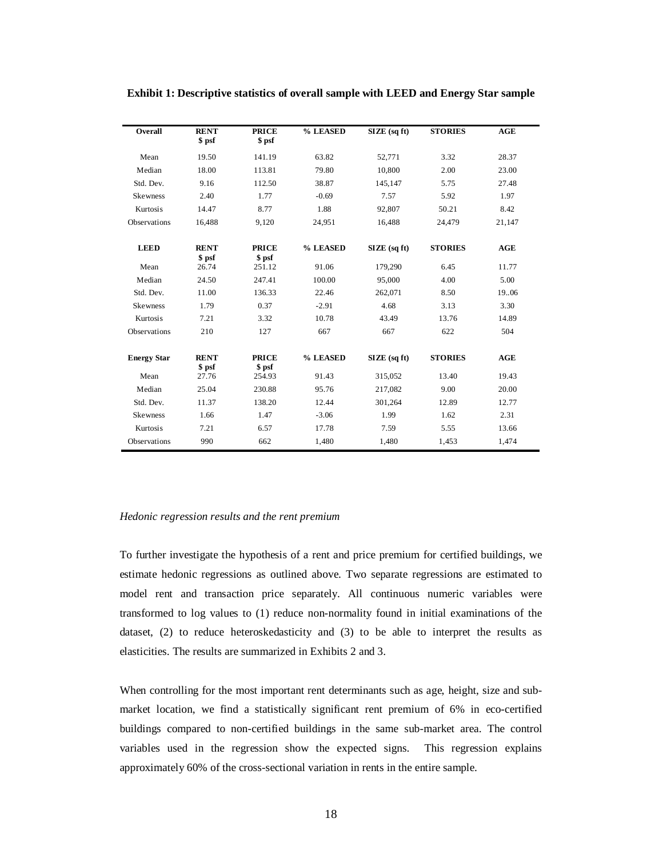| Overall            | <b>RENT</b>           | <b>PRICE</b>           | % LEASED | $SIZE$ (sq ft)    | <b>STORIES</b> | AGE    |
|--------------------|-----------------------|------------------------|----------|-------------------|----------------|--------|
|                    | \$ psf                | \$ psf                 |          |                   |                |        |
| Mean               | 19.50                 | 141.19                 | 63.82    | 52,771            | 3.32           | 28.37  |
| Median             | 18.00                 | 113.81                 | 79.80    | 10,800            | 2.00           | 23.00  |
| Std. Dev.          | 9.16                  | 112.50                 | 38.87    | 145,147           | 5.75           | 27.48  |
| <b>Skewness</b>    | 2.40                  | 1.77                   | $-0.69$  | 7.57              | 5.92           | 1.97   |
| Kurtosis           | 14.47                 | 8.77                   | 1.88     | 92,807            | 50.21          | 8.42   |
| Observations       | 16,488                | 9,120                  | 24,951   | 16,488            | 24,479         | 21,147 |
|                    |                       |                        |          |                   |                |        |
| <b>LEED</b>        | <b>RENT</b><br>\$ psf | <b>PRICE</b><br>\$ psf | % LEASED | $SIZE$ (sq ft)    | <b>STORIES</b> | AGE    |
| Mean               | 26.74                 | 251.12                 | 91.06    | 179,290           | 6.45           | 11.77  |
| Median             | 24.50                 | 247.41                 | 100.00   | 95,000            | 4.00           | 5.00   |
| Std. Dev.          | 11.00                 | 136.33                 | 22.46    | 262,071           | 8.50           | 19.06  |
| <b>Skewness</b>    | 1.79                  | 0.37                   | $-2.91$  | 4.68              | 3.13           | 3.30   |
| Kurtosis           | 7.21                  | 3.32                   | 10.78    | 43.49             | 13.76          | 14.89  |
| Observations       | 210                   | 127                    | 667      | 667               | 622            | 504    |
| <b>Energy Star</b> | <b>RENT</b><br>\$ psf | <b>PRICE</b><br>\$ psf | % LEASED | $SIZE$ (sq $ft$ ) | <b>STORIES</b> | AGE    |
| Mean               | 27.76                 | 254.93                 | 91.43    | 315,052           | 13.40          | 19.43  |
| Median             | 25.04                 | 230.88                 | 95.76    | 217,082           | 9.00           | 20.00  |
| Std. Dev.          | 11.37                 | 138.20                 | 12.44    | 301,264           | 12.89          | 12.77  |
| Skewness           | 1.66                  | 1.47                   | $-3.06$  | 1.99              | 1.62           | 2.31   |
| Kurtosis           | 7.21                  | 6.57                   | 17.78    | 7.59              | 5.55           | 13.66  |
| Observations       | 990                   | 662                    | 1,480    | 1,480             | 1,453          | 1,474  |

## **Exhibit 1: Descriptive statistics of overall sample with LEED and Energy Star sample**

#### *Hedonic regression results and the rent premium*

To further investigate the hypothesis of a rent and price premium for certified buildings, we estimate hedonic regressions as outlined above. Two separate regressions are estimated to model rent and transaction price separately. All continuous numeric variables were transformed to log values to (1) reduce non-normality found in initial examinations of the dataset, (2) to reduce heteroskedasticity and (3) to be able to interpret the results as elasticities. The results are summarized in Exhibits 2 and 3.

When controlling for the most important rent determinants such as age, height, size and submarket location, we find a statistically significant rent premium of 6% in eco-certified buildings compared to non-certified buildings in the same sub-market area. The control variables used in the regression show the expected signs. This regression explains approximately 60% of the cross-sectional variation in rents in the entire sample.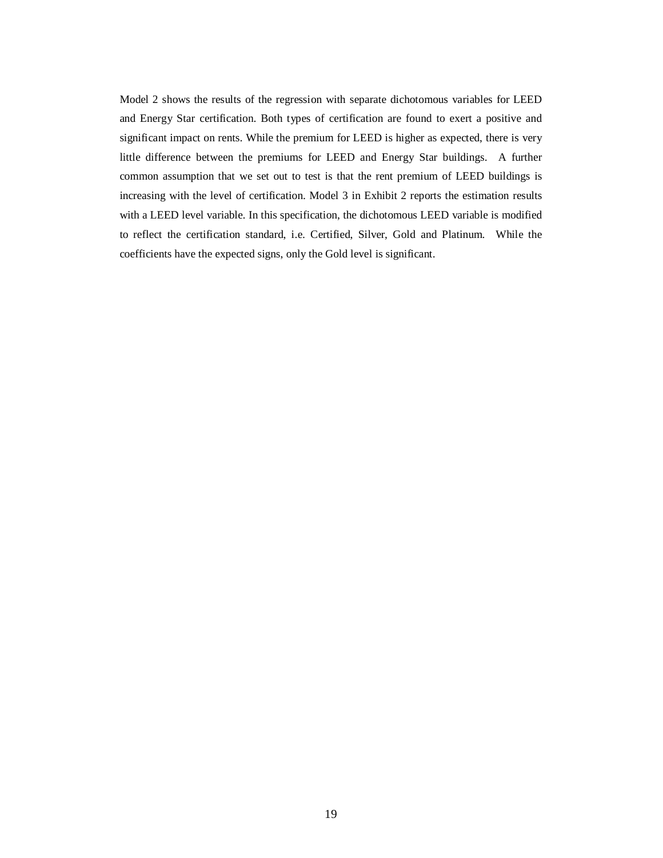Model 2 shows the results of the regression with separate dichotomous variables for LEED and Energy Star certification. Both types of certification are found to exert a positive and significant impact on rents. While the premium for LEED is higher as expected, there is very little difference between the premiums for LEED and Energy Star buildings. A further common assumption that we set out to test is that the rent premium of LEED buildings is increasing with the level of certification. Model 3 in Exhibit 2 reports the estimation results with a LEED level variable. In this specification, the dichotomous LEED variable is modified to reflect the certification standard, i.e. Certified, Silver, Gold and Platinum. While the coefficients have the expected signs, only the Gold level is significant.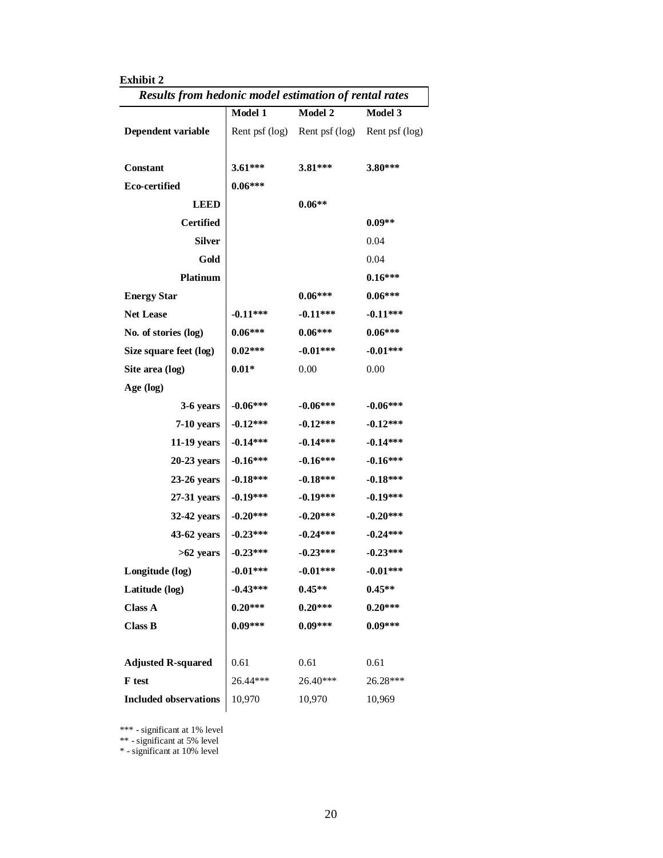| <b>Exhibit 2</b><br>Results from hedonic model estimation of rental rates |                |                               |                |  |
|---------------------------------------------------------------------------|----------------|-------------------------------|----------------|--|
|                                                                           | <b>Model 1</b> | Model 2                       | <b>Model 3</b> |  |
| Dependent variable                                                        |                | Rent psf (log) Rent psf (log) | Rent psf (log) |  |
| Constant                                                                  | 3.61***        | $3.81***$                     | 3.80***        |  |
| Eco-certified                                                             | $0.06***$      |                               |                |  |
| <b>LEED</b>                                                               |                | $0.06**$                      |                |  |
| <b>Certified</b>                                                          |                |                               | $0.09**$       |  |
| <b>Silver</b>                                                             |                |                               | 0.04           |  |
| Gold                                                                      |                |                               | 0.04           |  |
| <b>Platinum</b>                                                           |                |                               | $0.16***$      |  |
| <b>Energy Star</b>                                                        |                | $0.06***$                     | $0.06***$      |  |
| <b>Net Lease</b>                                                          | $-0.11***$     | $-0.11***$                    | $-0.11***$     |  |
| No. of stories (log)                                                      | $0.06***$      | $0.06***$                     | $0.06***$      |  |
| Size square feet (log)                                                    | $0.02***$      | $-0.01***$                    | $-0.01***$     |  |
| Site area (log)                                                           | $0.01*$        | 0.00                          | 0.00           |  |
| Age (log)                                                                 |                |                               |                |  |
| 3-6 years                                                                 | $-0.06***$     | $-0.06***$                    | $-0.06***$     |  |
| 7-10 years                                                                | $-0.12***$     | $-0.12***$                    | $-0.12***$     |  |
| 11-19 years                                                               | $-0.14***$     | $-0.14***$                    | $-0.14***$     |  |
| 20-23 years                                                               | $-0.16***$     | $-0.16***$                    | $-0.16***$     |  |
| 23-26 years                                                               | $-0.18***$     | $-0.18***$                    | $-0.18***$     |  |
| 27-31 years                                                               | $-0.19***$     | $-0.19***$                    | $-0.19***$     |  |
| 32-42 years                                                               | $-0.20***$     | $-0.20***$                    | $-0.20***$     |  |
| 43-62 years                                                               | $-0.23***$     | $-0.24***$                    | $-0.24***$     |  |
| >62 years                                                                 | $-0.23***$     | $-0.23***$                    | $-0.23***$     |  |
| Longitude (log)                                                           | $-0.01***$     | $-0.01***$                    | $-0.01***$     |  |
| Latitude (log)                                                            | $-0.43***$     | $0.45**$                      | $0.45**$       |  |
| <b>Class A</b>                                                            | $0.20***$      | $0.20***$                     | $0.20***$      |  |
| <b>Class B</b>                                                            | $0.09***$      | $0.09***$                     | $0.09***$      |  |
| <b>Adjusted R-squared</b>                                                 | 0.61           | 0.61                          | 0.61           |  |
| F test                                                                    | 26.44***       | $26.40***$                    | 26.28***       |  |
| <b>Included observations</b>                                              | 10,970         | 10,970                        | 10,969         |  |

\*\*\* - significant at 1% level

\*\* - significant at 5% level

\* - significant at 10% level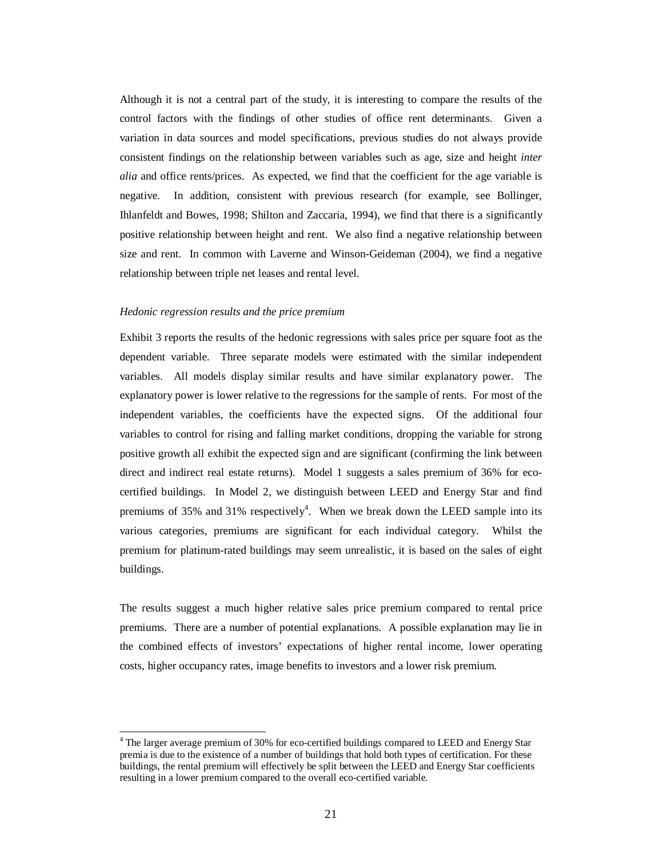Although it is not a central part of the study, it is interesting to compare the results of the control factors with the findings of other studies of office rent determinants. Given a variation in data sources and model specifications, previous studies do not always provide consistent findings on the relationship between variables such as age, size and height *inter alia* and office rents/prices. As expected, we find that the coefficient for the age variable is negative. In addition, consistent with previous research (for example, see Bollinger, Ihlanfeldt and Bowes, 1998; Shilton and Zaccaria, 1994), we find that there is a significantly positive relationship between height and rent. We also find a negative relationship between size and rent. In common with Laverne and Winson-Geideman (2004), we find a negative relationship between triple net leases and rental level.

#### *Hedonic regression results and the price premium*

 $\ddot{ }$ 

Exhibit 3 reports the results of the hedonic regressions with sales price per square foot as the dependent variable. Three separate models were estimated with the similar independent variables. All models display similar results and have similar explanatory power. The explanatory power is lower relative to the regressions for the sample of rents. For most of the independent variables, the coefficients have the expected signs. Of the additional four variables to control for rising and falling market conditions, dropping the variable for strong positive growth all exhibit the expected sign and are significant (confirming the link between direct and indirect real estate returns). Model 1 suggests a sales premium of 36% for ecocertified buildings. In Model 2, we distinguish between LEED and Energy Star and find premiums of 35% and 31% respectively<sup>4</sup>. When we break down the LEED sample into its various categories, premiums are significant for each individual category. Whilst the premium for platinum-rated buildings may seem unrealistic, it is based on the sales of eight buildings.

The results suggest a much higher relative sales price premium compared to rental price premiums. There are a number of potential explanations. A possible explanation may lie in the combined effects of investors' expectations of higher rental income, lower operating costs, higher occupancy rates, image benefits to investors and a lower risk premium.

<sup>&</sup>lt;sup>4</sup> The larger average premium of 30% for eco-certified buildings compared to LEED and Energy Star premia is due to the existence of a number of buildings that hold both types of certification. For these buildings, the rental premium will effectively be split between the LEED and Energy Star coefficients resulting in a lower premium compared to the overall eco-certified variable.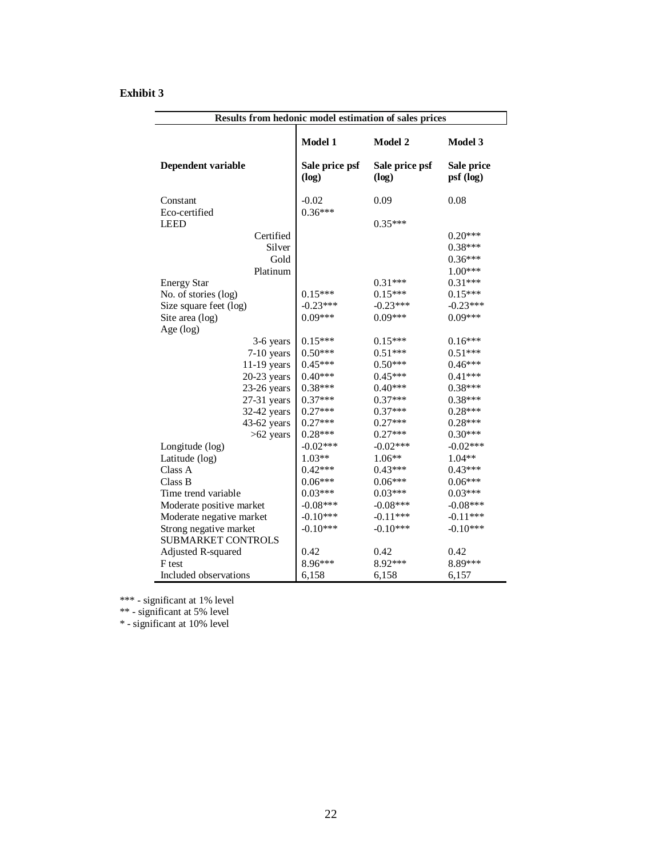## **Exhibit 3**

| Results from hedonic model estimation of sales prices |                         |                         |                         |  |  |
|-------------------------------------------------------|-------------------------|-------------------------|-------------------------|--|--|
|                                                       | Model 1                 | Model 2                 | Model 3                 |  |  |
| Dependent variable                                    | Sale price psf<br>(log) | Sale price psf<br>(log) | Sale price<br>psf (log) |  |  |
| Constant<br>Eco-certified                             | $-0.02$<br>$0.36***$    | 0.09                    | 0.08                    |  |  |
| <b>LEED</b>                                           |                         | $0.35***$               |                         |  |  |
| Certified                                             |                         |                         | $0.20***$               |  |  |
| Silver                                                |                         |                         | $0.38***$               |  |  |
| Gold                                                  |                         |                         | $0.36***$               |  |  |
| Platinum                                              |                         |                         | $1.00***$               |  |  |
| <b>Energy Star</b>                                    |                         | $0.31***$               | $0.31***$               |  |  |
| No. of stories (log)                                  | $0.15***$               | $0.15***$               | $0.15***$               |  |  |
| Size square feet (log)                                | $-0.23***$              | $-0.23***$              | $-0.23***$              |  |  |
| Site area (log)                                       | $0.09***$               | $0.09***$               | $0.09***$               |  |  |
| Age (log)                                             |                         |                         |                         |  |  |
| 3-6 years                                             | $0.15***$               | $0.15***$               | $0.16***$               |  |  |
| $7-10$ years                                          | $0.50***$               | $0.51***$               | $0.51***$               |  |  |
| 11-19 years                                           | $0.45***$               | $0.50***$               | $0.46***$               |  |  |
| $20-23$ years                                         | $0.40***$               | $0.45***$               | $0.41***$               |  |  |
| $23-26$ years                                         | $0.38***$               | $0.40***$               | $0.38***$               |  |  |
| $27-31$ years                                         | $0.37***$               | $0.37***$               | $0.38***$               |  |  |
| 32-42 years                                           | $0.27***$               | $0.37***$               | $0.28***$               |  |  |
| 43-62 years                                           | $0.27***$               | $0.27***$               | $0.28***$               |  |  |
| $>62$ years                                           | $0.28***$               | $0.27***$               | $0.30***$               |  |  |
| Longitude (log)                                       | $-0.02***$              | $-0.02***$              | $-0.02***$              |  |  |
| Latitude (log)                                        | $1.03**$                | $1.06**$                | $1.04**$                |  |  |
| Class A                                               | $0.42***$               | $0.43***$               | $0.43***$               |  |  |
| Class B                                               | $0.06***$               | $0.06***$               | $0.06***$               |  |  |
| Time trend variable                                   | $0.03***$               | $0.03***$               | $0.03***$               |  |  |
| Moderate positive market                              | $-0.08***$              | $-0.08***$              | $-0.08***$              |  |  |
| Moderate negative market                              | $-0.10***$              | $-0.11***$              | $-0.11***$              |  |  |
| Strong negative market                                | $-0.10***$              | $-0.10***$              | $-0.10***$              |  |  |
| <b>SUBMARKET CONTROLS</b>                             |                         |                         |                         |  |  |
| Adjusted R-squared                                    | 0.42                    | 0.42                    | 0.42                    |  |  |
| F test                                                | 8.96***                 | 8.92***                 | 8.89***                 |  |  |
| Included observations                                 | 6,158                   | 6,158                   | 6,157                   |  |  |

\*\*\* - significant at 1% level

\*\* - significant at 5% level

\* - significant at 10% level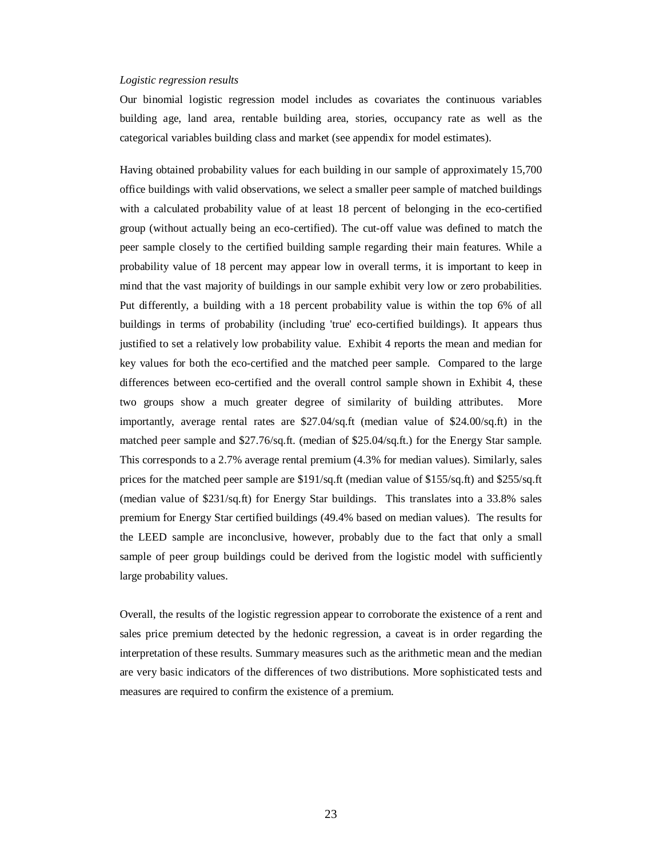#### *Logistic regression results*

Our binomial logistic regression model includes as covariates the continuous variables building age, land area, rentable building area, stories, occupancy rate as well as the categorical variables building class and market (see appendix for model estimates).

Having obtained probability values for each building in our sample of approximately 15,700 office buildings with valid observations, we select a smaller peer sample of matched buildings with a calculated probability value of at least 18 percent of belonging in the eco-certified group (without actually being an eco-certified). The cut-off value was defined to match the peer sample closely to the certified building sample regarding their main features. While a probability value of 18 percent may appear low in overall terms, it is important to keep in mind that the vast majority of buildings in our sample exhibit very low or zero probabilities. Put differently, a building with a 18 percent probability value is within the top 6% of all buildings in terms of probability (including 'true' eco-certified buildings). It appears thus justified to set a relatively low probability value. Exhibit 4 reports the mean and median for key values for both the eco-certified and the matched peer sample. Compared to the large differences between eco-certified and the overall control sample shown in Exhibit 4, these two groups show a much greater degree of similarity of building attributes. More importantly, average rental rates are \$27.04/sq.ft (median value of \$24.00/sq.ft) in the matched peer sample and \$27.76/sq.ft. (median of \$25.04/sq.ft.) for the Energy Star sample. This corresponds to a 2.7% average rental premium (4.3% for median values). Similarly, sales prices for the matched peer sample are \$191/sq.ft (median value of \$155/sq.ft) and \$255/sq.ft (median value of \$231/sq.ft) for Energy Star buildings. This translates into a 33.8% sales premium for Energy Star certified buildings (49.4% based on median values). The results for the LEED sample are inconclusive, however, probably due to the fact that only a small sample of peer group buildings could be derived from the logistic model with sufficiently large probability values.

Overall, the results of the logistic regression appear to corroborate the existence of a rent and sales price premium detected by the hedonic regression, a caveat is in order regarding the interpretation of these results. Summary measures such as the arithmetic mean and the median are very basic indicators of the differences of two distributions. More sophisticated tests and measures are required to confirm the existence of a premium.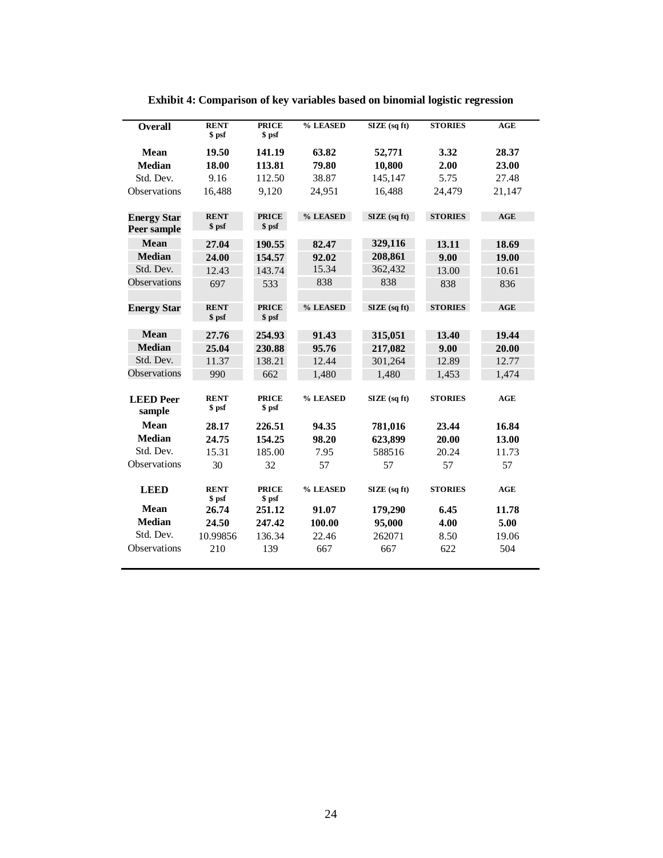| <b>Overall</b>                    | <b>RENT</b><br>\$ psf | <b>PRICE</b><br>\$ psf | % LEASED | SIZE (sq ft)          | <b>STORIES</b> | AGE        |
|-----------------------------------|-----------------------|------------------------|----------|-----------------------|----------------|------------|
| <b>Mean</b>                       | 19.50                 | 141.19                 | 63.82    | 52,771                | 3.32           | 28.37      |
| <b>Median</b>                     | 18.00                 | 113.81                 | 79.80    | 10,800                | 2.00           | 23.00      |
| Std. Dev.                         | 9.16                  | 112.50                 | 38.87    | 145,147               | 5.75           | 27.48      |
| Observations                      | 16,488                | 9,120                  | 24,951   | 16,488                | 24,479         | 21,147     |
| <b>Energy Star</b><br>Peer sample | <b>RENT</b><br>\$ psf | <b>PRICE</b><br>\$ psf | % LEASED | $\angle$ SIZE (sq ft) | <b>STORIES</b> | <b>AGE</b> |
| <b>Mean</b>                       | 27.04                 | 190.55                 | 82.47    | 329,116               | 13.11          | 18.69      |
| <b>Median</b>                     | 24.00                 | 154.57                 | 92.02    | 208,861               | 9.00           | 19.00      |
| Std. Dev.                         | 12.43                 | 143.74                 | 15.34    | 362,432               | 13.00          | 10.61      |
| Observations                      | 697                   | 533                    | 838      | 838                   | 838            | 836        |
| <b>Energy Star</b>                | <b>RENT</b><br>\$ psf | <b>PRICE</b><br>\$ psf | % LEASED | SIZE (sq ft)          | <b>STORIES</b> | AGE        |
| <b>Mean</b>                       | 27.76                 | 254.93                 | 91.43    | 315,051               | 13.40          | 19.44      |
| <b>Median</b>                     | 25.04                 | 230.88                 | 95.76    | 217,082               | 9.00           | 20.00      |
| Std. Dev.                         | 11.37                 | 138.21                 | 12.44    | 301,264               | 12.89          | 12.77      |
| Observations                      | 990                   | 662                    | 1,480    | 1,480                 | 1,453          | 1,474      |
| <b>LEED</b> Peer<br>sample        | <b>RENT</b><br>\$ psf | <b>PRICE</b><br>\$ psf | % LEASED | SIZE (sq ft)          | <b>STORIES</b> | AGE        |
| <b>Mean</b>                       | 28.17                 | 226.51                 | 94.35    | 781,016               | 23.44          | 16.84      |
| <b>Median</b>                     | 24.75                 | 154.25                 | 98.20    | 623,899               | 20.00          | 13.00      |
| Std. Dev.                         | 15.31                 | 185.00                 | 7.95     | 588516                | 20.24          | 11.73      |
| Observations                      | 30                    | 32                     | 57       | 57                    | 57             | 57         |
| <b>LEED</b>                       | <b>RENT</b><br>\$ psf | <b>PRICE</b><br>\$ psf | % LEASED | SIZE (sq ft)          | <b>STORIES</b> | AGE        |
| <b>Mean</b>                       | 26.74                 | 251.12                 | 91.07    | 179,290               | 6.45           | 11.78      |
| <b>Median</b>                     | 24.50                 | 247.42                 | 100.00   | 95,000                | 4.00           | 5.00       |
| Std. Dev.                         | 10.99856              | 136.34                 | 22.46    | 262071                | 8.50           | 19.06      |
| <b>Observations</b>               | 210                   | 139                    | 667      | 667                   | 622            | 504        |

**Exhibit 4: Comparison of key variables based on binomial logistic regression**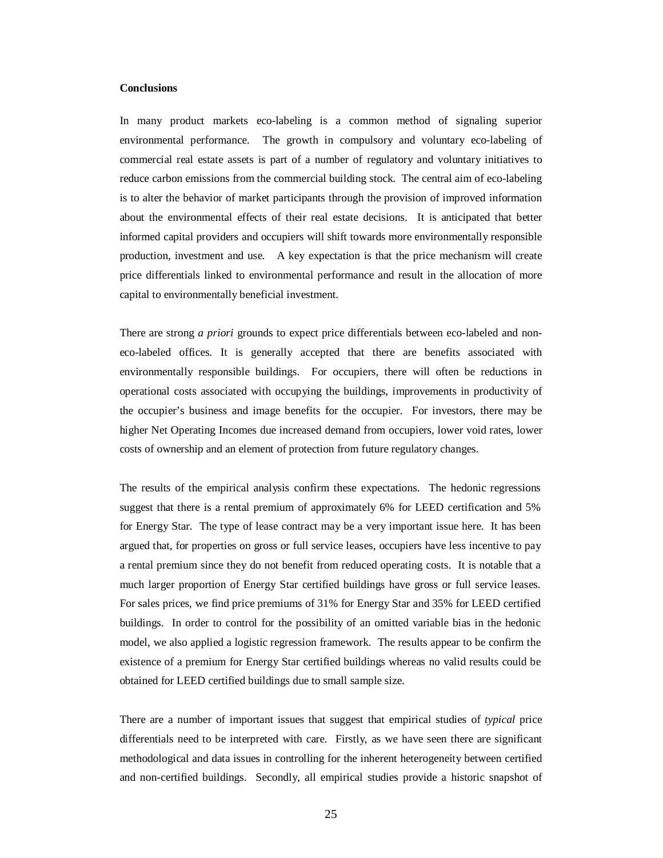## **Conclusions**

In many product markets eco-labeling is a common method of signaling superior environmental performance. The growth in compulsory and voluntary eco-labeling of commercial real estate assets is part of a number of regulatory and voluntary initiatives to reduce carbon emissions from the commercial building stock. The central aim of eco-labeling is to alter the behavior of market participants through the provision of improved information about the environmental effects of their real estate decisions. It is anticipated that better informed capital providers and occupiers will shift towards more environmentally responsible production, investment and use. A key expectation is that the price mechanism will create price differentials linked to environmental performance and result in the allocation of more capital to environmentally beneficial investment.

There are strong *a priori* grounds to expect price differentials between eco-labeled and noneco-labeled offices. It is generally accepted that there are benefits associated with environmentally responsible buildings. For occupiers, there will often be reductions in operational costs associated with occupying the buildings, improvements in productivity of the occupier's business and image benefits for the occupier. For investors, there may be higher Net Operating Incomes due increased demand from occupiers, lower void rates, lower costs of ownership and an element of protection from future regulatory changes.

The results of the empirical analysis confirm these expectations. The hedonic regressions suggest that there is a rental premium of approximately 6% for LEED certification and 5% for Energy Star. The type of lease contract may be a very important issue here. It has been argued that, for properties on gross or full service leases, occupiers have less incentive to pay a rental premium since they do not benefit from reduced operating costs. It is notable that a much larger proportion of Energy Star certified buildings have gross or full service leases. For sales prices, we find price premiums of 31% for Energy Star and 35% for LEED certified buildings. In order to control for the possibility of an omitted variable bias in the hedonic model, we also applied a logistic regression framework. The results appear to be confirm the existence of a premium for Energy Star certified buildings whereas no valid results could be obtained for LEED certified buildings due to small sample size.

There are a number of important issues that suggest that empirical studies of *typical* price differentials need to be interpreted with care. Firstly, as we have seen there are significant methodological and data issues in controlling for the inherent heterogeneity between certified and non-certified buildings. Secondly, all empirical studies provide a historic snapshot of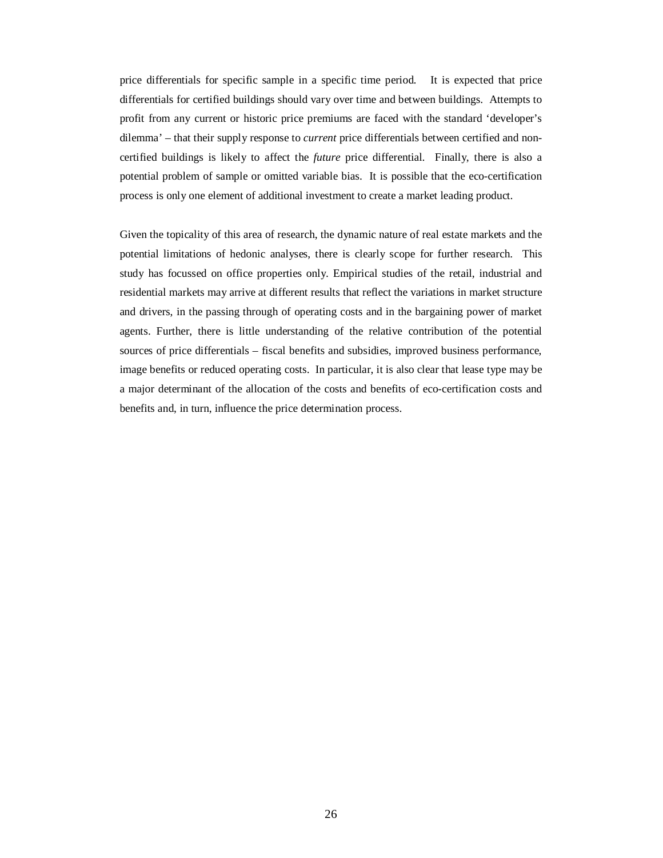price differentials for specific sample in a specific time period. It is expected that price differentials for certified buildings should vary over time and between buildings. Attempts to profit from any current or historic price premiums are faced with the standard 'developer's dilemma' – that their supply response to *current* price differentials between certified and noncertified buildings is likely to affect the *future* price differential. Finally, there is also a potential problem of sample or omitted variable bias. It is possible that the eco-certification process is only one element of additional investment to create a market leading product.

Given the topicality of this area of research, the dynamic nature of real estate markets and the potential limitations of hedonic analyses, there is clearly scope for further research. This study has focussed on office properties only. Empirical studies of the retail, industrial and residential markets may arrive at different results that reflect the variations in market structure and drivers, in the passing through of operating costs and in the bargaining power of market agents. Further, there is little understanding of the relative contribution of the potential sources of price differentials – fiscal benefits and subsidies, improved business performance, image benefits or reduced operating costs. In particular, it is also clear that lease type may be a major determinant of the allocation of the costs and benefits of eco-certification costs and benefits and, in turn, influence the price determination process.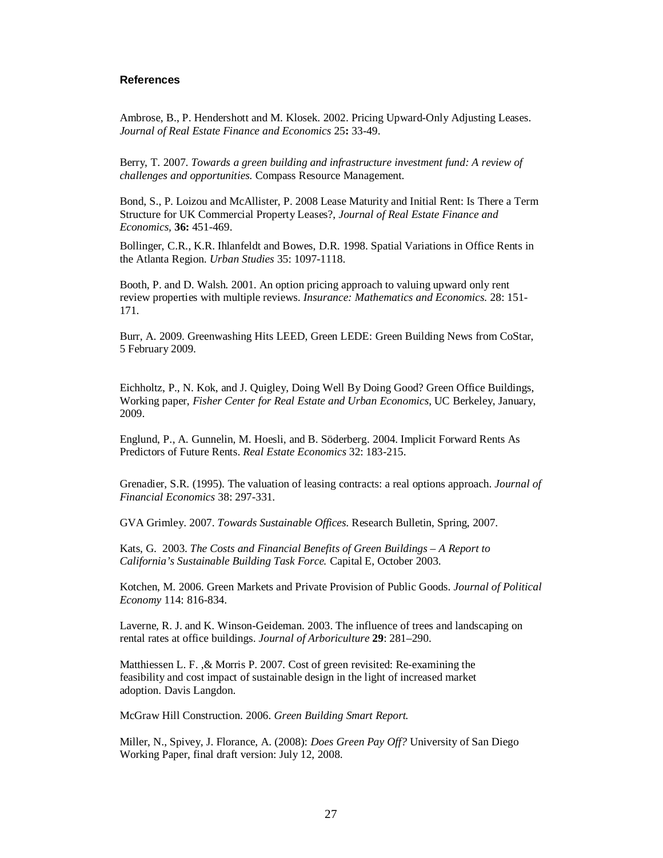## **References**

Ambrose, B., P. Hendershott and M. Klosek. 2002. Pricing Upward-Only Adjusting Leases. *Journal of Real Estate Finance and Economics* 25**:** 33-49.

Berry, T. 2007. *Towards a green building and infrastructure investment fund: A review of challenges and opportunities.* Compass Resource Management.

Bond, S., P. Loizou and McAllister, P. 2008 Lease Maturity and Initial Rent: Is There a Term Structure for UK Commercial Property Leases?, *Journal of Real Estate Finance and Economics,* **36:** 451-469.

Bollinger, C.R., K.R. Ihlanfeldt and Bowes, D.R. 1998. Spatial Variations in Office Rents in the Atlanta Region. *Urban Studies* 35: 1097-1118.

Booth, P. and D. Walsh. 2001. An option pricing approach to valuing upward only rent review properties with multiple reviews. *Insurance: Mathematics and Economics.* 28: 151- 171.

Burr, A. 2009. Greenwashing Hits LEED, Green LEDE: Green Building News from CoStar, 5 February 2009.

Eichholtz, P., N. Kok, and J. Quigley, Doing Well By Doing Good? Green Office Buildings, Working paper, *Fisher Center for Real Estate and Urban Economics*, UC Berkeley, January, 2009.

Englund, P., A. Gunnelin, M. Hoesli, and B. Söderberg. 2004. Implicit Forward Rents As Predictors of Future Rents. *Real Estate Economics* 32: 183-215.

Grenadier, S.R. (1995). The valuation of leasing contracts: a real options approach. *Journal of Financial Economics* 38: 297-331.

GVA Grimley. 2007. *Towards Sustainable Offices.* Research Bulletin, Spring, 2007.

Kats, G. 2003. *The Costs and Financial Benefits of Green Buildings – A Report to California's Sustainable Building Task Force.* Capital E, October 2003.

Kotchen, M. 2006. Green Markets and Private Provision of Public Goods. *Journal of Political Economy* 114: 816-834.

Laverne, R. J. and K. Winson-Geideman. 2003. The influence of trees and landscaping on rental rates at office buildings. *Journal of Arboriculture* **29**: 281–290.

Matthiessen L. F. ,& Morris P. 2007. Cost of green revisited: Re-examining the feasibility and cost impact of sustainable design in the light of increased market adoption. Davis Langdon.

McGraw Hill Construction. 2006. *Green Building Smart Report.*

Miller, N., Spivey, J. Florance, A. (2008): *Does Green Pay Off?* University of San Diego Working Paper, final draft version: July 12, 2008.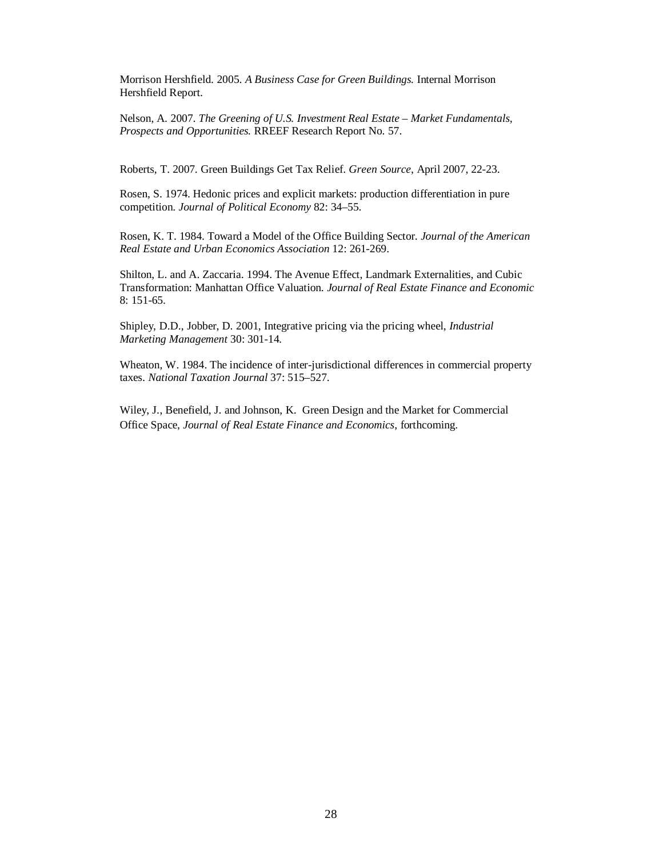Morrison Hershfield. 2005. *A Business Case for Green Buildings.* Internal Morrison Hershfield Report.

Nelson, A. 2007. *The Greening of U.S. Investment Real Estate – Market Fundamentals, Prospects and Opportunities.* RREEF Research Report No. 57.

Roberts, T. 2007. Green Buildings Get Tax Relief. *Green Source*, April 2007, 22-23.

Rosen, S. 1974. Hedonic prices and explicit markets: production differentiation in pure competition. *Journal of Political Economy* 82: 34–55.

Rosen, K. T. 1984. Toward a Model of the Office Building Sector. *Journal of the American Real Estate and Urban Economics Association* 12: 261-269.

Shilton, L. and A. Zaccaria. 1994. The Avenue Effect, Landmark Externalities, and Cubic Transformation: Manhattan Office Valuation. *Journal of Real Estate Finance and Economic*  8: 151-65.

Shipley, D.D., Jobber, D. 2001, Integrative pricing via the pricing wheel, *Industrial Marketing Management* 30: 301-14.

Wheaton, W. 1984. The incidence of inter-jurisdictional differences in commercial property taxes. *National Taxation Journal* 37: 515–527.

Wiley, J., Benefield, J. and Johnson, K. Green Design and the Market for Commercial Office Space, *Journal of Real Estate Finance and Economics*, forthcoming.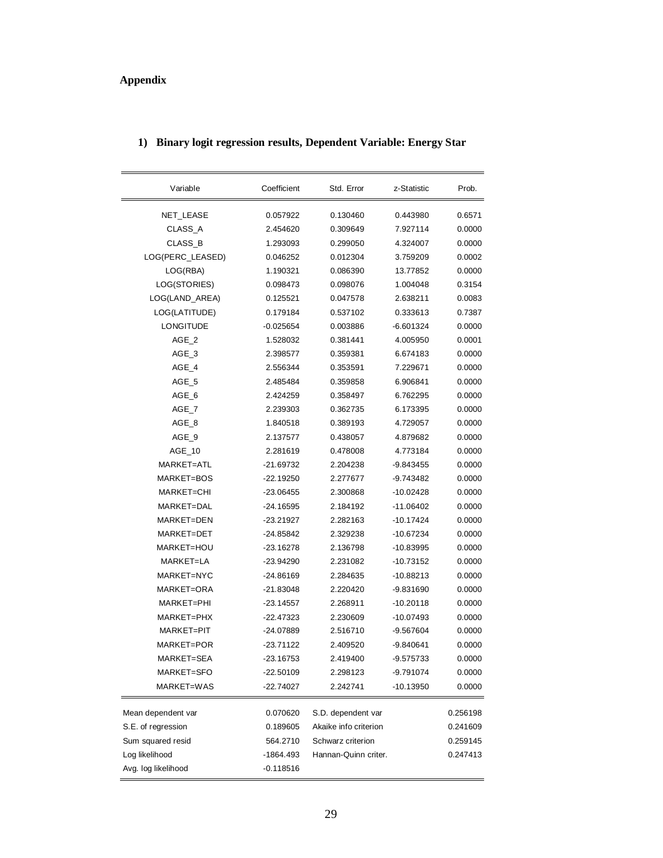# **Appendix**

ř.

| Variable            | Coefficient | Std. Error            | z-Statistic | Prob.    |
|---------------------|-------------|-----------------------|-------------|----------|
| NET_LEASE           | 0.057922    | 0.130460              | 0.443980    | 0.6571   |
| CLASS_A             | 2.454620    | 0.309649              | 7.927114    | 0.0000   |
| CLASS B             | 1.293093    | 0.299050              | 4.324007    | 0.0000   |
| LOG(PERC_LEASED)    | 0.046252    | 0.012304              | 3.759209    | 0.0002   |
| LOG(RBA)            | 1.190321    | 0.086390              | 13.77852    | 0.0000   |
| LOG(STORIES)        | 0.098473    | 0.098076              | 1.004048    | 0.3154   |
| LOG(LAND_AREA)      | 0.125521    | 0.047578              | 2.638211    | 0.0083   |
| LOG(LATITUDE)       | 0.179184    | 0.537102              | 0.333613    | 0.7387   |
| <b>LONGITUDE</b>    | -0.025654   | 0.003886              | $-6.601324$ | 0.0000   |
| $AGE_2$             | 1.528032    | 0.381441              | 4.005950    | 0.0001   |
| $AGE_3$             | 2.398577    | 0.359381              | 6.674183    | 0.0000   |
| AGE_4               | 2.556344    | 0.353591              | 7.229671    | 0.0000   |
| AGE_5               | 2.485484    | 0.359858              | 6.906841    | 0.0000   |
| AGE_6               | 2.424259    | 0.358497              | 6.762295    | 0.0000   |
| AGE_7               | 2.239303    | 0.362735              | 6.173395    | 0.0000   |
| AGE_8               | 1.840518    | 0.389193              | 4.729057    | 0.0000   |
| AGE 9               | 2.137577    | 0.438057              | 4.879682    | 0.0000   |
| AGE 10              | 2.281619    | 0.478008              | 4.773184    | 0.0000   |
| MARKET=ATL          | -21.69732   | 2.204238              | $-9.843455$ | 0.0000   |
| MARKET=BOS          | $-22.19250$ | 2.277677              | -9.743482   | 0.0000   |
| MARKET=CHI          | -23.06455   | 2.300868              | $-10.02428$ | 0.0000   |
| MARKET=DAL          | $-24.16595$ | 2.184192              | $-11.06402$ | 0.0000   |
| MARKET=DEN          | $-23.21927$ | 2.282163              | $-10.17424$ | 0.0000   |
| MARKET=DET          | $-24.85842$ | 2.329238              | $-10.67234$ | 0.0000   |
| MARKET=HOU          | $-23.16278$ | 2.136798              | $-10.83995$ | 0.0000   |
| MARKET=LA           | $-23.94290$ | 2.231082              | -10.73152   | 0.0000   |
| MARKET=NYC          | -24.86169   | 2.284635              | -10.88213   | 0.0000   |
| MARKET=ORA          | -21.83048   | 2.220420              | -9.831690   | 0.0000   |
| MARKET=PHI          | $-23.14557$ | 2.268911              | $-10.20118$ | 0.0000   |
| MARKET=PHX          | -22.47323   | 2.230609              | $-10.07493$ | 0.0000   |
| MARKET=PIT          | -24.07889   | 2.516710              | -9.567604   | 0.0000   |
| MARKET=POR          | $-23.71122$ | 2.409520              | -9.840641   | 0.0000   |
| MARKET=SEA          | $-23.16753$ | 2.419400              | $-9.575733$ | 0.0000   |
| MARKET=SFO          | -22.50109   | 2.298123              | -9.791074   | 0.0000   |
| MARKET=WAS          | $-22.74027$ | 2.242741              | $-10.13950$ | 0.0000   |
| Mean dependent var  | 0.070620    | S.D. dependent var    |             | 0.256198 |
| S.E. of regression  | 0.189605    | Akaike info criterion |             | 0.241609 |
| Sum squared resid   | 564.2710    | Schwarz criterion     |             | 0.259145 |
| Log likelihood      | $-1864.493$ | Hannan-Quinn criter.  |             | 0.247413 |
| Avg. log likelihood | $-0.118516$ |                       |             |          |
|                     |             |                       |             |          |

## **1) Binary logit regression results, Dependent Variable: Energy Star**